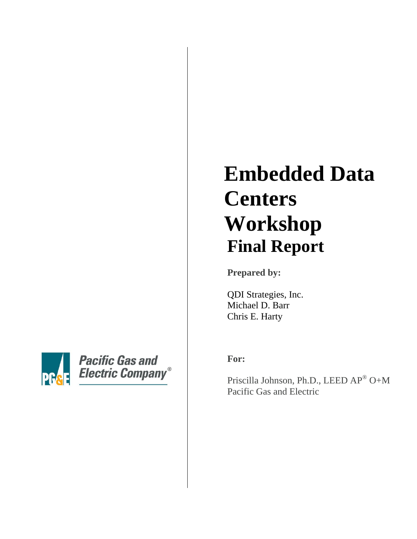# **PG**

**Pacific Gas and Electric Company®** 

# **Embedded Data Centers Workshop Final Report**

**Prepared by:**

QDI Strategies, Inc. Michael D. Barr Chris E. Harty

**For:**

Priscilla Johnson, Ph.D., LEED AP® O+M Pacific Gas and Electric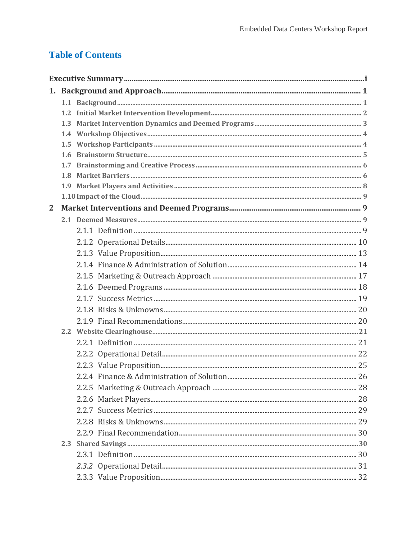# **Table of Contents**

| $\overline{2}$ |  |  |  |  |  |
|----------------|--|--|--|--|--|
|                |  |  |  |  |  |
|                |  |  |  |  |  |
|                |  |  |  |  |  |
|                |  |  |  |  |  |
|                |  |  |  |  |  |
|                |  |  |  |  |  |
|                |  |  |  |  |  |
|                |  |  |  |  |  |
|                |  |  |  |  |  |
|                |  |  |  |  |  |
|                |  |  |  |  |  |
|                |  |  |  |  |  |
|                |  |  |  |  |  |
|                |  |  |  |  |  |
|                |  |  |  |  |  |
|                |  |  |  |  |  |
|                |  |  |  |  |  |
|                |  |  |  |  |  |
|                |  |  |  |  |  |
|                |  |  |  |  |  |
|                |  |  |  |  |  |
|                |  |  |  |  |  |
|                |  |  |  |  |  |
|                |  |  |  |  |  |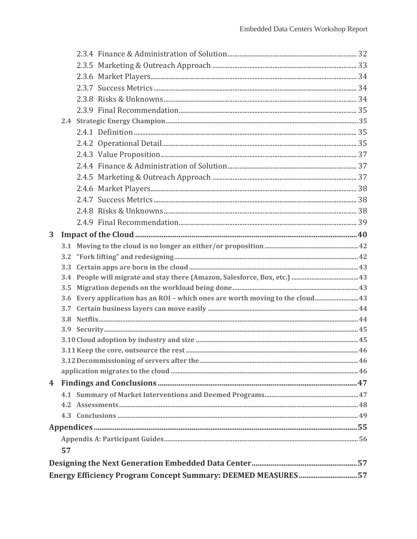| 3 |    |                                                                                |  |  |  |
|---|----|--------------------------------------------------------------------------------|--|--|--|
|   |    |                                                                                |  |  |  |
|   |    |                                                                                |  |  |  |
|   |    |                                                                                |  |  |  |
|   |    |                                                                                |  |  |  |
|   |    |                                                                                |  |  |  |
|   |    | 3.6 Every application has an ROI - which ones are worth moving to the cloud 43 |  |  |  |
|   |    |                                                                                |  |  |  |
|   |    |                                                                                |  |  |  |
|   |    |                                                                                |  |  |  |
|   |    |                                                                                |  |  |  |
|   |    |                                                                                |  |  |  |
|   |    |                                                                                |  |  |  |
|   |    |                                                                                |  |  |  |
|   |    |                                                                                |  |  |  |
|   |    |                                                                                |  |  |  |
|   |    |                                                                                |  |  |  |
|   |    |                                                                                |  |  |  |
|   |    |                                                                                |  |  |  |
|   |    |                                                                                |  |  |  |
|   | 57 |                                                                                |  |  |  |
|   |    |                                                                                |  |  |  |
|   |    | Energy Efficiency Program Concept Summary: DEEMED MEASURES57                   |  |  |  |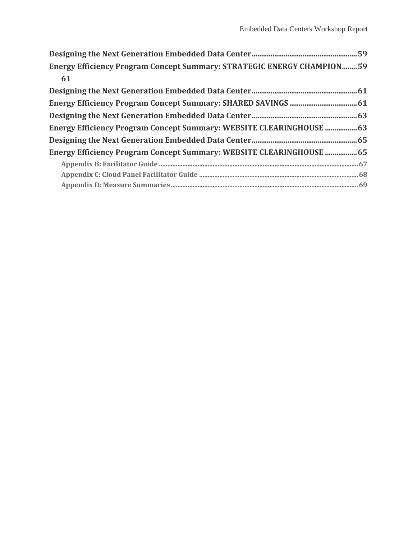| Energy Efficiency Program Concept Summary: STRATEGIC ENERGY CHAMPION59      |  |  |  |  |
|-----------------------------------------------------------------------------|--|--|--|--|
| 61                                                                          |  |  |  |  |
|                                                                             |  |  |  |  |
|                                                                             |  |  |  |  |
|                                                                             |  |  |  |  |
| <b>Energy Efficiency Program Concept Summary: WEBSITE CLEARINGHOUSE  63</b> |  |  |  |  |
|                                                                             |  |  |  |  |
| Energy Efficiency Program Concept Summary: WEBSITE CLEARINGHOUSE  65        |  |  |  |  |
|                                                                             |  |  |  |  |
|                                                                             |  |  |  |  |
|                                                                             |  |  |  |  |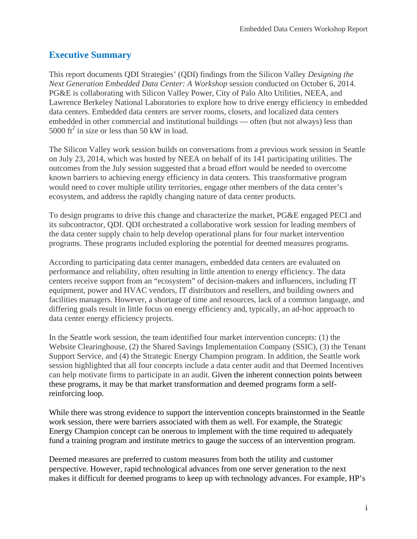# <span id="page-4-0"></span>**Executive Summary**

This report documents QDI Strategies' (QDI) findings from the Silicon Valley *Designing the Next Generation Embedded Data Center: A Workshop* session conducted on October 6, 2014. PG&E is collaborating with Silicon Valley Power, City of Palo Alto Utilities, NEEA, and Lawrence Berkeley National Laboratories to explore how to drive energy efficiency in embedded data centers. Embedded data centers are server rooms, closets, and localized data centers embedded in other commercial and institutional buildings — often (but not always) less than 5000  $\text{ft}^2$  in size or less than 50 kW in load.

The Silicon Valley work session builds on conversations from a previous work session in Seattle on July 23, 2014, which was hosted by NEEA on behalf of its 141 participating utilities. The outcomes from the July session suggested that a broad effort would be needed to overcome known barriers to achieving energy efficiency in data centers. This transformative program would need to cover multiple utility territories, engage other members of the data center's ecosystem, and address the rapidly changing nature of data center products.

To design programs to drive this change and characterize the market, PG&E engaged PECI and its subcontractor, QDI. QDI orchestrated a collaborative work session for leading members of the data center supply chain to help develop operational plans for four market intervention programs. These programs included exploring the potential for deemed measures programs.

According to participating data center managers, embedded data centers are evaluated on performance and reliability, often resulting in little attention to energy efficiency. The data centers receive support from an "ecosystem" of decision-makers and influencers, including IT equipment, power and HVAC vendors, IT distributors and resellers, and building owners and facilities managers. However, a shortage of time and resources, lack of a common language, and differing goals result in little focus on energy efficiency and, typically, an ad-hoc approach to data center energy efficiency projects.

In the Seattle work session, the team identified four market intervention concepts: (1) the Website Clearinghouse, (2) the Shared Savings Implementation Company (SSIC), (3) the Tenant Support Service, and (4) the Strategic Energy Champion program. In addition, the Seattle work session highlighted that all four concepts include a data center audit and that Deemed Incentives can help motivate firms to participate in an audit. Given the inherent connection points between these programs, it may be that market transformation and deemed programs form a selfreinforcing loop.

While there was strong evidence to support the intervention concepts brainstormed in the Seattle work session, there were barriers associated with them as well. For example, the Strategic Energy Champion concept can be onerous to implement with the time required to adequately fund a training program and institute metrics to gauge the success of an intervention program.

Deemed measures are preferred to custom measures from both the utility and customer perspective. However, rapid technological advances from one server generation to the next makes it difficult for deemed programs to keep up with technology advances. For example, HP's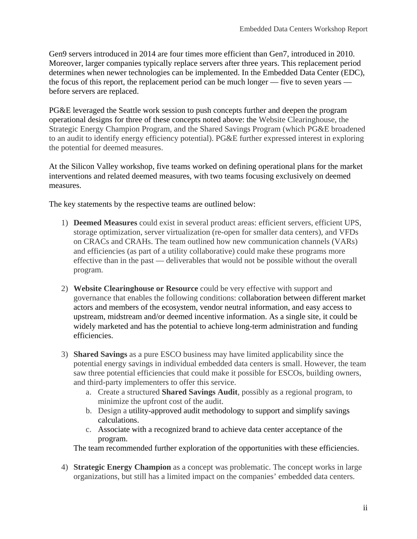Gen9 servers introduced in 2014 are four times more efficient than Gen7, introduced in 2010. Moreover, larger companies typically replace servers after three years. This replacement period determines when newer technologies can be implemented. In the Embedded Data Center (EDC), the focus of this report, the replacement period can be much longer — five to seven years before servers are replaced.

PG&E leveraged the Seattle work session to push concepts further and deepen the program operational designs for three of these concepts noted above: the Website Clearinghouse, the Strategic Energy Champion Program, and the Shared Savings Program (which PG&E broadened to an audit to identify energy efficiency potential). PG&E further expressed interest in exploring the potential for deemed measures.

At the Silicon Valley workshop, five teams worked on defining operational plans for the market interventions and related deemed measures, with two teams focusing exclusively on deemed measures.

The key statements by the respective teams are outlined below:

- 1) **Deemed Measures** could exist in several product areas: efficient servers, efficient UPS, storage optimization, server virtualization (re-open for smaller data centers), and VFDs on CRACs and CRAHs. The team outlined how new communication channels (VARs) and efficiencies (as part of a utility collaborative) could make these programs more effective than in the past — deliverables that would not be possible without the overall program.
- 2) **Website Clearinghouse or Resource** could be very effective with support and governance that enables the following conditions: collaboration between different market actors and members of the ecosystem, vendor neutral information, and easy access to upstream, midstream and/or deemed incentive information. As a single site, it could be widely marketed and has the potential to achieve long-term administration and funding efficiencies.
- 3) **Shared Savings** as a pure ESCO business may have limited applicability since the potential energy savings in individual embedded data centers is small. However, the team saw three potential efficiencies that could make it possible for ESCOs, building owners, and third-party implementers to offer this service.
	- a. Create a structured **Shared Savings Audit**, possibly as a regional program, to minimize the upfront cost of the audit.
	- b. Design a utility-approved audit methodology to support and simplify savings calculations.
	- c. Associate with a recognized brand to achieve data center acceptance of the program.

The team recommended further exploration of the opportunities with these efficiencies.

4) **Strategic Energy Champion** as a concept was problematic. The concept works in large organizations, but still has a limited impact on the companies' embedded data centers.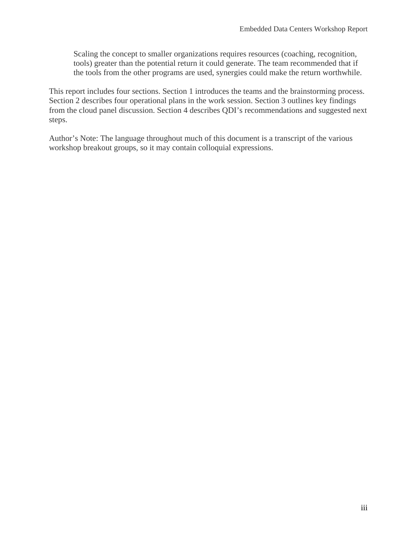Scaling the concept to smaller organizations requires resources (coaching, recognition, tools) greater than the potential return it could generate. The team recommended that if the tools from the other programs are used, synergies could make the return worthwhile.

This report includes four sections. Section 1 introduces the teams and the brainstorming process. Section 2 describes four operational plans in the work session. Section 3 outlines key findings from the cloud panel discussion. Section 4 describes QDI's recommendations and suggested next steps.

Author's Note: The language throughout much of this document is a transcript of the various workshop breakout groups, so it may contain colloquial expressions.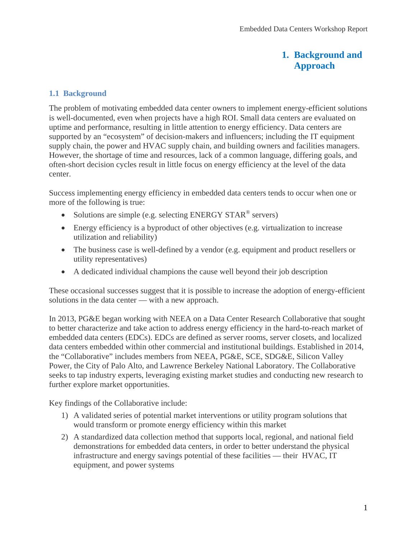# **1. Background and Approach**

#### <span id="page-7-1"></span><span id="page-7-0"></span>**1.1 Background**

The problem of motivating embedded data center owners to implement energy-efficient solutions is well-documented, even when projects have a high ROI. Small data centers are evaluated on uptime and performance, resulting in little attention to energy efficiency. Data centers are supported by an "ecosystem" of decision-makers and influencers; including the IT equipment supply chain, the power and HVAC supply chain, and building owners and facilities managers. However, the shortage of time and resources, lack of a common language, differing goals, and often-short decision cycles result in little focus on energy efficiency at the level of the data center.

Success implementing energy efficiency in embedded data centers tends to occur when one or more of the following is true:

- Solutions are simple (e.g. selecting ENERGY STAR® servers)
- Energy efficiency is a byproduct of other objectives (e.g. virtualization to increase utilization and reliability)
- The business case is well-defined by a vendor (e.g. equipment and product resellers or utility representatives)
- A dedicated individual champions the cause well beyond their job description

These occasional successes suggest that it is possible to increase the adoption of energy-efficient solutions in the data center — with a new approach.

In 2013, PG&E began working with NEEA on a Data Center Research Collaborative that sought to better characterize and take action to address energy efficiency in the hard-to-reach market of embedded data centers (EDCs). EDCs are defined as server rooms, server closets, and localized data centers embedded within other commercial and institutional buildings. Established in 2014, the "Collaborative" includes members from NEEA, PG&E, SCE, SDG&E, Silicon Valley Power, the City of Palo Alto, and Lawrence Berkeley National Laboratory. The Collaborative seeks to tap industry experts, leveraging existing market studies and conducting new research to further explore market opportunities.

Key findings of the Collaborative include:

- 1) A validated series of potential market interventions or utility program solutions that would transform or promote energy efficiency within this market
- 2) A standardized data collection method that supports local, regional, and national field demonstrations for embedded data centers, in order to better understand the physical infrastructure and energy savings potential of these facilities — their HVAC, IT equipment, and power systems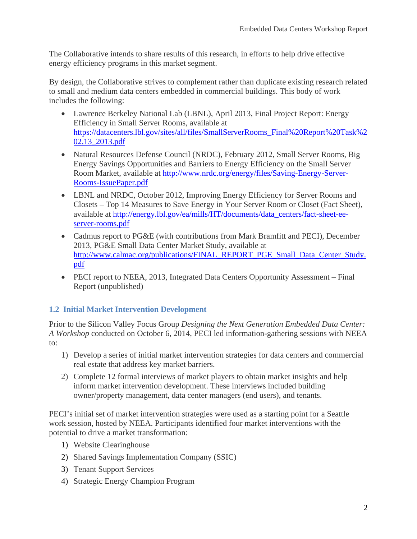The Collaborative intends to share results of this research, in efforts to help drive effective energy efficiency programs in this market segment.

By design, the Collaborative strives to complement rather than duplicate existing research related to small and medium data centers embedded in commercial buildings. This body of work includes the following:

- Lawrence Berkeley National Lab (LBNL), April 2013, Final Project Report: Energy Efficiency in Small Server Rooms, available at [https://datacenters.lbl.gov/sites/all/files/SmallServerRooms\\_Final%20Report%20Task%2](https://datacenters.lbl.gov/sites/all/files/SmallServerRooms_Final%20Report%20Task%202.13_2013.pdf) [02.13\\_2013.pdf](https://datacenters.lbl.gov/sites/all/files/SmallServerRooms_Final%20Report%20Task%202.13_2013.pdf)
- Natural Resources Defense Council (NRDC), February 2012, Small Server Rooms, Big Energy Savings Opportunities and Barriers to Energy Efficiency on the Small Server Room Market, available at [http://www.nrdc.org/energy/files/Saving-Energy-Server-](http://www.nrdc.org/energy/files/Saving-Energy-Server-Rooms-IssuePaper.pdf)[Rooms-IssuePaper.pdf](http://www.nrdc.org/energy/files/Saving-Energy-Server-Rooms-IssuePaper.pdf)
- LBNL and NRDC, October 2012, Improving Energy Efficiency for Server Rooms and Closets – Top 14 Measures to Save Energy in Your Server Room or Closet (Fact Sheet), available at [http://energy.lbl.gov/ea/mills/HT/documents/data\\_centers/fact-sheet-ee](http://energy.lbl.gov/ea/mills/HT/documents/data_centers/fact-sheet-ee-server-rooms.pdf)[server-rooms.pdf](http://energy.lbl.gov/ea/mills/HT/documents/data_centers/fact-sheet-ee-server-rooms.pdf)
- Cadmus report to PG&E (with contributions from Mark Bramfitt and PECI), December 2013, PG&E Small Data Center Market Study, available at [http://www.calmac.org/publications/FINAL\\_REPORT\\_PGE\\_Small\\_Data\\_Center\\_Study.](http://www.calmac.org/publications/FINAL_REPORT_PGE_Small_Data_Center_Study.pdf) [pdf](http://www.calmac.org/publications/FINAL_REPORT_PGE_Small_Data_Center_Study.pdf)
- PECI report to NEEA, 2013, Integrated Data Centers Opportunity Assessment Final Report (unpublished)

# <span id="page-8-0"></span>**1.2 Initial Market Intervention Development**

Prior to the Silicon Valley Focus Group *Designing the Next Generation Embedded Data Center: A Workshop* conducted on October 6, 2014, PECI led information-gathering sessions with NEEA to:

- 1) Develop a series of initial market intervention strategies for data centers and commercial real estate that address key market barriers.
- 2) Complete 12 formal interviews of market players to obtain market insights and help inform market intervention development. These interviews included building owner/property management, data center managers (end users), and tenants.

PECI's initial set of market intervention strategies were used as a starting point for a Seattle work session, hosted by NEEA. Participants identified four market interventions with the potential to drive a market transformation:

- 1) Website Clearinghouse
- 2) Shared Savings Implementation Company (SSIC)
- 3) Tenant Support Services
- 4) Strategic Energy Champion Program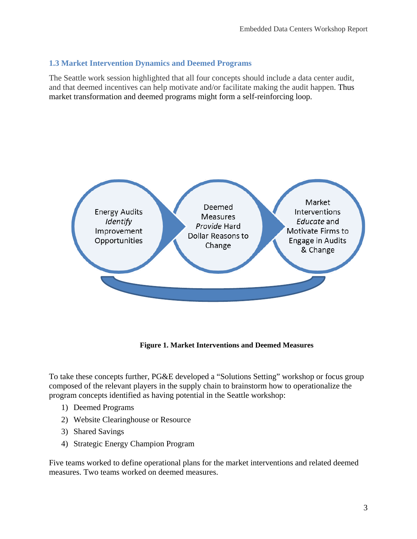# <span id="page-9-0"></span>**1.3 Market Intervention Dynamics and Deemed Programs**

The Seattle work session highlighted that all four concepts should include a data center audit, and that deemed incentives can help motivate and/or facilitate making the audit happen. Thus market transformation and deemed programs might form a self-reinforcing loop.



**Figure 1. Market Interventions and Deemed Measures**

To take these concepts further, PG&E developed a "Solutions Setting" workshop or focus group composed of the relevant players in the supply chain to brainstorm how to operationalize the program concepts identified as having potential in the Seattle workshop:

- 1) Deemed Programs
- 2) Website Clearinghouse or Resource
- 3) Shared Savings
- 4) Strategic Energy Champion Program

Five teams worked to define operational plans for the market interventions and related deemed measures. Two teams worked on deemed measures.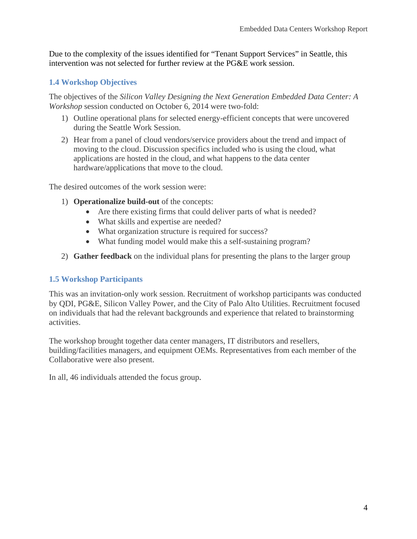Due to the complexity of the issues identified for "Tenant Support Services" in Seattle, this intervention was not selected for further review at the PG&E work session.

# <span id="page-10-0"></span>**1.4 Workshop Objectives**

The objectives of the *Silicon Valley Designing the Next Generation Embedded Data Center: A Workshop* session conducted on October 6, 2014 were two-fold:

- 1) Outline operational plans for selected energy-efficient concepts that were uncovered during the Seattle Work Session.
- 2) Hear from a panel of cloud vendors/service providers about the trend and impact of moving to the cloud. Discussion specifics included who is using the cloud, what applications are hosted in the cloud, and what happens to the data center hardware/applications that move to the cloud.

The desired outcomes of the work session were:

- 1) **Operationalize build-out** of the concepts:
	- Are there existing firms that could deliver parts of what is needed?
	- What skills and expertise are needed?
	- What organization structure is required for success?
	- What funding model would make this a self-sustaining program?
- 2) **Gather feedback** on the individual plans for presenting the plans to the larger group

#### <span id="page-10-1"></span>**1.5 Workshop Participants**

This was an invitation-only work session. Recruitment of workshop participants was conducted by QDI, PG&E, Silicon Valley Power, and the City of Palo Alto Utilities. Recruitment focused on individuals that had the relevant backgrounds and experience that related to brainstorming activities.

The workshop brought together data center managers, IT distributors and resellers, building/facilities managers, and equipment OEMs. Representatives from each member of the Collaborative were also present.

In all, 46 individuals attended the focus group.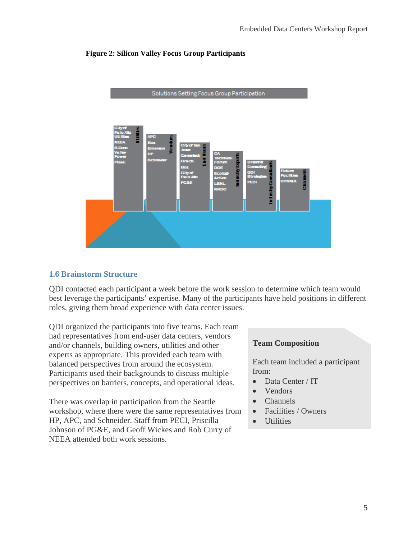#### **Figure 2: Silicon Valley Focus Group Participants**



Solutions Setting Focus Group Participation

#### <span id="page-11-0"></span>**1.6 Brainstorm Structure**

QDI contacted each participant a week before the work session to determine which team would best leverage the participants' expertise. Many of the participants have held positions in different roles, giving them broad experience with data center issues.

QDI organized the participants into five teams. Each team had representatives from end-user data centers, vendors and/or channels, building owners, utilities and other experts as appropriate. This provided each team with balanced perspectives from around the ecosystem. Participants used their backgrounds to discuss multiple perspectives on barriers, concepts, and operational ideas.

There was overlap in participation from the Seattle workshop, where there were the same representatives from HP, APC, and Schneider. Staff from PECI, Priscilla Johnson of PG&E, and Geoff Wickes and Rob Curry of NEEA attended both work sessions.

#### **Team Composition**

Each team included a participant from:

- Data Center / IT
- Vendors
- Channels
- Facilities / Owners
- Utilities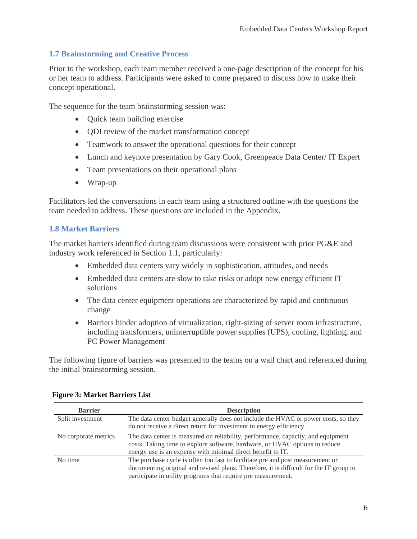# <span id="page-12-0"></span>**1.7 Brainstorming and Creative Process**

Prior to the workshop, each team member received a one-page description of the concept for his or her team to address. Participants were asked to come prepared to discuss how to make their concept operational.

The sequence for the team brainstorming session was:

- Ouick team building exercise
- QDI review of the market transformation concept
- Teamwork to answer the operational questions for their concept
- Lunch and keynote presentation by Gary Cook, Greenpeace Data Center/ IT Expert
- Team presentations on their operational plans
- Wrap-up

Facilitators led the conversations in each team using a structured outline with the questions the team needed to address. These questions are included in the Appendix.

#### <span id="page-12-1"></span>**1.8 Market Barriers**

The market barriers identified during team discussions were consistent with prior PG&E and industry work referenced in Section 1.1, particularly:

- Embedded data centers vary widely in sophistication, attitudes, and needs
- Embedded data centers are slow to take risks or adopt new energy efficient IT solutions
- The data center equipment operations are characterized by rapid and continuous change
- Barriers hinder adoption of virtualization, right-sizing of server room infrastructure, including transformers, uninterruptible power supplies (UPS), cooling, lighting, and PC Power Management

The following figure of barriers was presented to the teams on a wall chart and referenced during the initial brainstorming session.

| <b>Barrier</b>       | <b>Description</b>                                                                                                                                                                                                                        |
|----------------------|-------------------------------------------------------------------------------------------------------------------------------------------------------------------------------------------------------------------------------------------|
| Split investment     | The data center budget generally does not include the HVAC or power costs, so they<br>do not receive a direct return for investment in energy efficiency.                                                                                 |
| No corporate metrics | The data center is measured on reliability, performance, capacity, and equipment<br>costs. Taking time to explore software, hardware, or HVAC options to reduce<br>energy use is an expense with minimal direct benefit to IT.            |
| No time              | The purchase cycle is often too fast to facilitate pre and post measurement or<br>documenting original and revised plans. Therefore, it is difficult for the IT group to<br>participate in utility programs that require pre measurement. |

#### **Figure 3: Market Barriers List**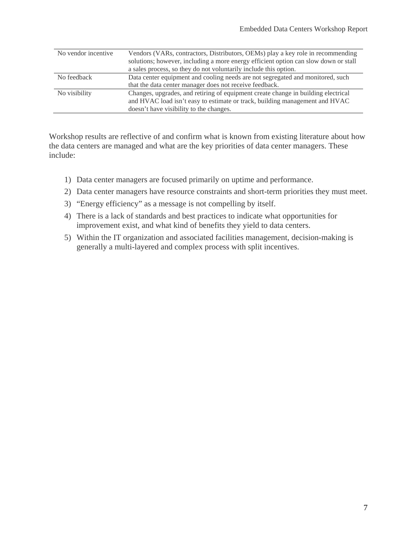| No vendor incentive | Vendors (VARs, contractors, Distributors, OEMs) play a key role in recommending<br>solutions; however, including a more energy efficient option can slow down or stall                                      |
|---------------------|-------------------------------------------------------------------------------------------------------------------------------------------------------------------------------------------------------------|
|                     | a sales process, so they do not voluntarily include this option.                                                                                                                                            |
| No feedback         | Data center equipment and cooling needs are not segregated and monitored, such                                                                                                                              |
|                     | that the data center manager does not receive feedback.                                                                                                                                                     |
| No visibility       | Changes, upgrades, and retiring of equipment create change in building electrical<br>and HVAC load isn't easy to estimate or track, building management and HVAC<br>doesn't have visibility to the changes. |

Workshop results are reflective of and confirm what is known from existing literature about how the data centers are managed and what are the key priorities of data center managers. These include:

- 1) Data center managers are focused primarily on uptime and performance.
- 2) Data center managers have resource constraints and short-term priorities they must meet.
- 3) "Energy efficiency" as a message is not compelling by itself.
- 4) There is a lack of standards and best practices to indicate what opportunities for improvement exist, and what kind of benefits they yield to data centers.
- 5) Within the IT organization and associated facilities management, decision-making is generally a multi-layered and complex process with split incentives.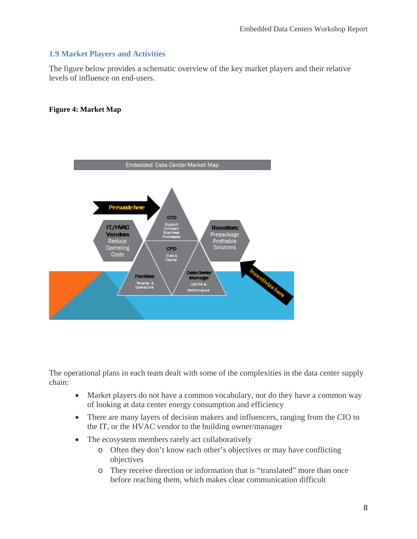# <span id="page-14-0"></span>**1.9 Market Players and Activities**

The figure below provides a schematic overview of the key market players and their relative levels of influence on end-users.

#### **Figure 4: Market Map**



The operational plans in each team dealt with some of the complexities in the data center supply chain:

- Market players do not have a common vocabulary, nor do they have a common way of looking at data center energy consumption and efficiency
- There are many layers of decision makers and influencers, ranging from the CIO to the IT, or the HVAC vendor to the building owner/manager
- The ecosystem members rarely act collaboratively
	- o Often they don't know each other's objectives or may have conflicting objectives
	- o They receive direction or information that is "translated" more than once before reaching them, which makes clear communication difficult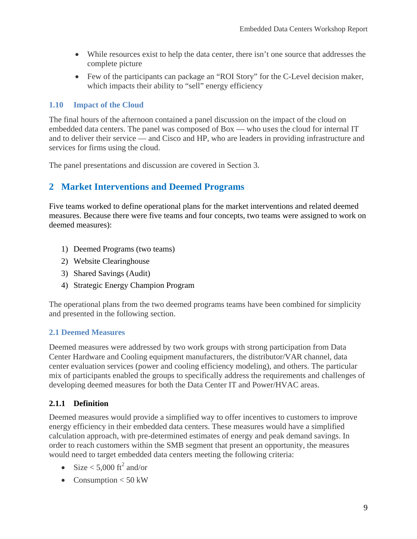- While resources exist to help the data center, there isn't one source that addresses the complete picture
- Few of the participants can package an "ROI Story" for the C-Level decision maker, which impacts their ability to "sell" energy efficiency

#### <span id="page-15-0"></span>**1.10 Impact of the Cloud**

The final hours of the afternoon contained a panel discussion on the impact of the cloud on embedded data centers. The panel was composed of Box — who uses the cloud for internal IT and to deliver their service — and Cisco and HP, who are leaders in providing infrastructure and services for firms using the cloud.

The panel presentations and discussion are covered in Section 3.

# <span id="page-15-1"></span>**2 Market Interventions and Deemed Programs**

Five teams worked to define operational plans for the market interventions and related deemed measures. Because there were five teams and four concepts, two teams were assigned to work on deemed measures):

- 1) Deemed Programs (two teams)
- 2) Website Clearinghouse
- 3) Shared Savings (Audit)
- 4) Strategic Energy Champion Program

The operational plans from the two deemed programs teams have been combined for simplicity and presented in the following section.

#### <span id="page-15-2"></span>**2.1 Deemed Measures**

Deemed measures were addressed by two work groups with strong participation from Data Center Hardware and Cooling equipment manufacturers, the distributor/VAR channel, data center evaluation services (power and cooling efficiency modeling), and others. The particular mix of participants enabled the groups to specifically address the requirements and challenges of developing deemed measures for both the Data Center IT and Power/HVAC areas.

# <span id="page-15-3"></span>**2.1.1 Definition**

Deemed measures would provide a simplified way to offer incentives to customers to improve energy efficiency in their embedded data centers. These measures would have a simplified calculation approach, with pre-determined estimates of energy and peak demand savings. In order to reach customers within the SMB segment that present an opportunity, the measures would need to target embedded data centers meeting the following criteria:

- Size  $< 5,000$  ft<sup>2</sup> and/or
- Consumption  $< 50$  kW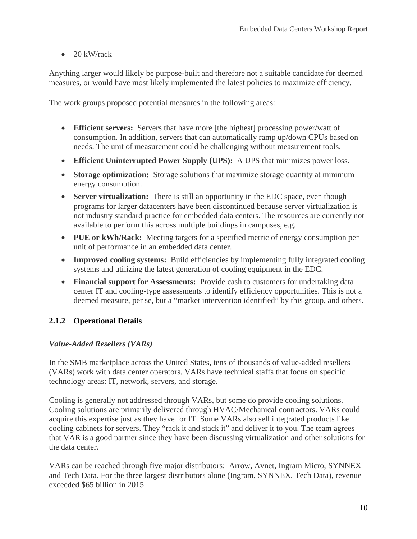$\bullet$  20 kW/rack

Anything larger would likely be purpose-built and therefore not a suitable candidate for deemed measures, or would have most likely implemented the latest policies to maximize efficiency.

The work groups proposed potential measures in the following areas:

- **Efficient servers:** Servers that have more [the highest] processing power/watt of consumption. In addition, servers that can automatically ramp up/down CPUs based on needs. The unit of measurement could be challenging without measurement tools.
- **Efficient Uninterrupted Power Supply (UPS):** A UPS that minimizes power loss.
- **Storage optimization:** Storage solutions that maximize storage quantity at minimum energy consumption.
- **Server virtualization:** There is still an opportunity in the EDC space, even though programs for larger datacenters have been discontinued because server virtualization is not industry standard practice for embedded data centers. The resources are currently not available to perform this across multiple buildings in campuses, e.g.
- **PUE or kWh/Rack:** Meeting targets for a specified metric of energy consumption per unit of performance in an embedded data center.
- **Improved cooling systems:** Build efficiencies by implementing fully integrated cooling systems and utilizing the latest generation of cooling equipment in the EDC.
- **Financial support for Assessments:** Provide cash to customers for undertaking data center IT and cooling-type assessments to identify efficiency opportunities. This is not a deemed measure, per se, but a "market intervention identified" by this group, and others.

#### <span id="page-16-0"></span>**2.1.2 Operational Details**

#### *Value-Added Resellers (VARs)*

In the SMB marketplace across the United States, tens of thousands of value-added resellers (VARs) work with data center operators. VARs have technical staffs that focus on specific technology areas: IT, network, servers, and storage.

Cooling is generally not addressed through VARs, but some do provide cooling solutions. Cooling solutions are primarily delivered through HVAC/Mechanical contractors. VARs could acquire this expertise just as they have for IT. Some VARs also sell integrated products like cooling cabinets for servers. They "rack it and stack it" and deliver it to you. The team agrees that VAR is a good partner since they have been discussing virtualization and other solutions for the data center.

VARs can be reached through five major distributors: Arrow, Avnet, Ingram Micro, SYNNEX and Tech Data. For the three largest distributors alone (Ingram, SYNNEX, Tech Data), revenue exceeded \$65 billion in 2015.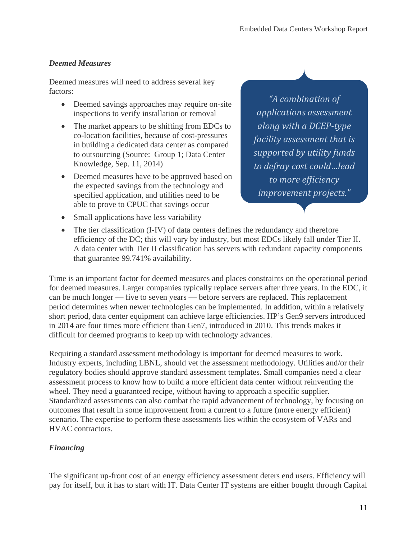# *Deemed Measures*

Deemed measures will need to address several key factors:

- Deemed savings approaches may require on-site inspections to verify installation or removal
- The market appears to be shifting from EDCs to co-location facilities, because of cost-pressures in building a dedicated data center as compared to outsourcing (Source: Group 1; Data Center Knowledge, Sep. 11, 2014)
- Deemed measures have to be approved based on the expected savings from the technology and specified application, and utilities need to be able to prove to CPUC that savings occur
- Small applications have less variability

*"A combination of applications assessment along with a DCEP-type facility assessment that is supported by utility funds to defray cost could…lead to more efficiency improvement projects."*

• The tier classification (I-IV) of data centers defines the redundancy and therefore efficiency of the DC; this will vary by industry, but most EDCs likely fall under Tier II. A data center with Tier II classification has servers with redundant capacity components that guarantee 99.741% availability.

Time is an important factor for deemed measures and places constraints on the operational period for deemed measures. Larger companies typically replace servers after three years. In the EDC, it can be much longer — five to seven years — before servers are replaced. This replacement period determines when newer technologies can be implemented. In addition, within a relatively short period, data center equipment can achieve large efficiencies. HP's Gen9 servers introduced in 2014 are four times more efficient than Gen7, introduced in 2010. This trends makes it difficult for deemed programs to keep up with technology advances.

Requiring a standard assessment methodology is important for deemed measures to work. Industry experts, including LBNL, should vet the assessment methodology. Utilities and/or their regulatory bodies should approve standard assessment templates. Small companies need a clear assessment process to know how to build a more efficient data center without reinventing the wheel. They need a guaranteed recipe, without having to approach a specific supplier. Standardized assessments can also combat the rapid advancement of technology, by focusing on outcomes that result in some improvement from a current to a future (more energy efficient) scenario. The expertise to perform these assessments lies within the ecosystem of VARs and HVAC contractors.

# *Financing*

The significant up-front cost of an energy efficiency assessment deters end users. Efficiency will pay for itself, but it has to start with IT. Data Center IT systems are either bought through Capital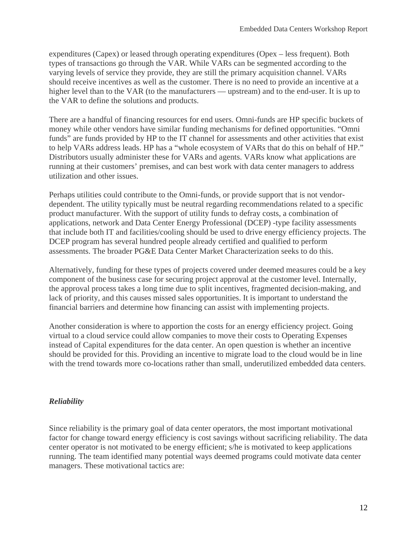expenditures (Capex) or leased through operating expenditures (Opex – less frequent). Both types of transactions go through the VAR. While VARs can be segmented according to the varying levels of service they provide, they are still the primary acquisition channel. VARs should receive incentives as well as the customer. There is no need to provide an incentive at a higher level than to the VAR (to the manufacturers — upstream) and to the end-user. It is up to the VAR to define the solutions and products.

There are a handful of financing resources for end users. Omni-funds are HP specific buckets of money while other vendors have similar funding mechanisms for defined opportunities. "Omni funds" are funds provided by HP to the IT channel for assessments and other activities that exist to help VARs address leads. HP has a "whole ecosystem of VARs that do this on behalf of HP." Distributors usually administer these for VARs and agents. VARs know what applications are running at their customers' premises, and can best work with data center managers to address utilization and other issues.

Perhaps utilities could contribute to the Omni-funds, or provide support that is not vendordependent. The utility typically must be neutral regarding recommendations related to a specific product manufacturer. With the support of utility funds to defray costs, a combination of applications, network and Data Center Energy Professional (DCEP) -type facility assessments that include both IT and facilities/cooling should be used to drive energy efficiency projects. The DCEP program has several hundred people already certified and qualified to perform assessments. The broader PG&E Data Center Market Characterization seeks to do this.

Alternatively, funding for these types of projects covered under deemed measures could be a key component of the business case for securing project approval at the customer level. Internally, the approval process takes a long time due to split incentives, fragmented decision-making, and lack of priority, and this causes missed sales opportunities. It is important to understand the financial barriers and determine how financing can assist with implementing projects.

Another consideration is where to apportion the costs for an energy efficiency project. Going virtual to a cloud service could allow companies to move their costs to Operating Expenses instead of Capital expenditures for the data center. An open question is whether an incentive should be provided for this. Providing an incentive to migrate load to the cloud would be in line with the trend towards more co-locations rather than small, underutilized embedded data centers.

#### *Reliability*

Since reliability is the primary goal of data center operators, the most important motivational factor for change toward energy efficiency is cost savings without sacrificing reliability. The data center operator is not motivated to be energy efficient; s/he is motivated to keep applications running. The team identified many potential ways deemed programs could motivate data center managers. These motivational tactics are: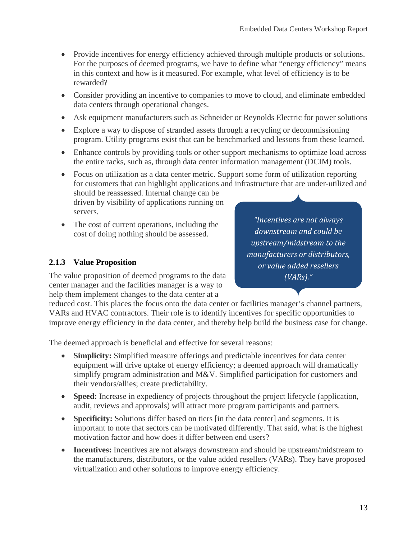- Provide incentives for energy efficiency achieved through multiple products or solutions. For the purposes of deemed programs, we have to define what "energy efficiency" means in this context and how is it measured. For example, what level of efficiency is to be rewarded?
- Consider providing an incentive to companies to move to cloud, and eliminate embedded data centers through operational changes.
- Ask equipment manufacturers such as Schneider or Reynolds Electric for power solutions
- Explore a way to dispose of stranded assets through a recycling or decommissioning program. Utility programs exist that can be benchmarked and lessons from these learned.
- Enhance controls by providing tools or other support mechanisms to optimize load across the entire racks, such as, through data center information management (DCIM) tools.

• Focus on utilization as a data center metric. Support some form of utilization reporting for customers that can highlight applications and infrastructure that are under-utilized and should be reassessed. Internal change can be

driven by visibility of applications running on servers.

• The cost of current operations, including the cost of doing nothing should be assessed.

# <span id="page-19-0"></span>**2.1.3 Value Proposition**

The value proposition of deemed programs to the data center manager and the facilities manager is a way to help them implement changes to the data center at a

*"Incentives are not always downstream and could be upstream/midstream to the manufacturers or distributors, or value added resellers (VARs)."*

reduced cost. This places the focus onto the data center or facilities manager's channel partners, VARs and HVAC contractors. Their role is to identify incentives for specific opportunities to improve energy efficiency in the data center, and thereby help build the business case for change.

The deemed approach is beneficial and effective for several reasons:

- **Simplicity:** Simplified measure offerings and predictable incentives for data center equipment will drive uptake of energy efficiency; a deemed approach will dramatically simplify program administration and M&V. Simplified participation for customers and their vendors/allies; create predictability.
- **Speed:** Increase in expediency of projects throughout the project lifecycle (application, audit, reviews and approvals) will attract more program participants and partners.
- **Specificity:** Solutions differ based on tiers [in the data center] and segments. It is important to note that sectors can be motivated differently. That said, what is the highest motivation factor and how does it differ between end users?
- **Incentives:** Incentives are not always downstream and should be upstream/midstream to the manufacturers, distributors, or the value added resellers (VARs). They have proposed virtualization and other solutions to improve energy efficiency.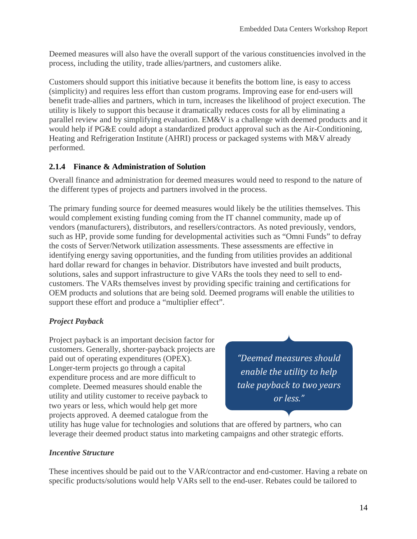Deemed measures will also have the overall support of the various constituencies involved in the process, including the utility, trade allies/partners, and customers alike.

Customers should support this initiative because it benefits the bottom line, is easy to access (simplicity) and requires less effort than custom programs. Improving ease for end-users will benefit trade-allies and partners, which in turn, increases the likelihood of project execution. The utility is likely to support this because it dramatically reduces costs for all by eliminating a parallel review and by simplifying evaluation. EM&V is a challenge with deemed products and it would help if PG&E could adopt a standardized product approval such as the Air-Conditioning, Heating and Refrigeration Institute (AHRI) process or packaged systems with M&V already performed.

#### <span id="page-20-0"></span>**2.1.4 Finance & Administration of Solution**

Overall finance and administration for deemed measures would need to respond to the nature of the different types of projects and partners involved in the process.

The primary funding source for deemed measures would likely be the utilities themselves. This would complement existing funding coming from the IT channel community, made up of vendors (manufacturers), distributors, and resellers/contractors. As noted previously, vendors, such as HP, provide some funding for developmental activities such as "Omni Funds" to defray the costs of Server/Network utilization assessments. These assessments are effective in identifying energy saving opportunities, and the funding from utilities provides an additional hard dollar reward for changes in behavior. Distributors have invested and built products, solutions, sales and support infrastructure to give VARs the tools they need to sell to endcustomers. The VARs themselves invest by providing specific training and certifications for OEM products and solutions that are being sold. Deemed programs will enable the utilities to support these effort and produce a "multiplier effect".

# *Project Payback*

Project payback is an important decision factor for customers. Generally, shorter-payback projects are paid out of operating expenditures (OPEX). Longer-term projects go through a capital expenditure process and are more difficult to complete. Deemed measures should enable the utility and utility customer to receive payback to two years or less, which would help get more projects approved. A deemed catalogue from the

*"Deemed measures should enable the utility to help take payback to two years or less."*

utility has huge value for technologies and solutions that are offered by partners, who can leverage their deemed product status into marketing campaigns and other strategic efforts.

#### *Incentive Structure*

These incentives should be paid out to the VAR/contractor and end-customer. Having a rebate on specific products/solutions would help VARs sell to the end-user. Rebates could be tailored to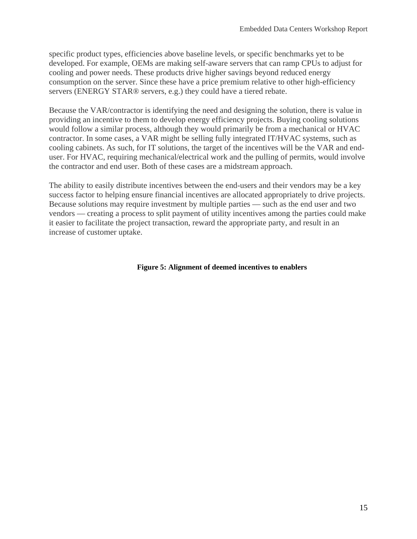specific product types, efficiencies above baseline levels, or specific benchmarks yet to be developed. For example, OEMs are making self-aware servers that can ramp CPUs to adjust for cooling and power needs. These products drive higher savings beyond reduced energy consumption on the server. Since these have a price premium relative to other high-efficiency servers (ENERGY STAR® servers, e.g.) they could have a tiered rebate.

Because the VAR/contractor is identifying the need and designing the solution, there is value in providing an incentive to them to develop energy efficiency projects. Buying cooling solutions would follow a similar process, although they would primarily be from a mechanical or HVAC contractor. In some cases, a VAR might be selling fully integrated IT/HVAC systems, such as cooling cabinets. As such, for IT solutions, the target of the incentives will be the VAR and enduser. For HVAC, requiring mechanical/electrical work and the pulling of permits, would involve the contractor and end user. Both of these cases are a midstream approach.

The ability to easily distribute incentives between the end-users and their vendors may be a key success factor to helping ensure financial incentives are allocated appropriately to drive projects. Because solutions may require investment by multiple parties — such as the end user and two vendors — creating a process to split payment of utility incentives among the parties could make it easier to facilitate the project transaction, reward the appropriate party, and result in an increase of customer uptake.

#### **Figure 5: Alignment of deemed incentives to enablers**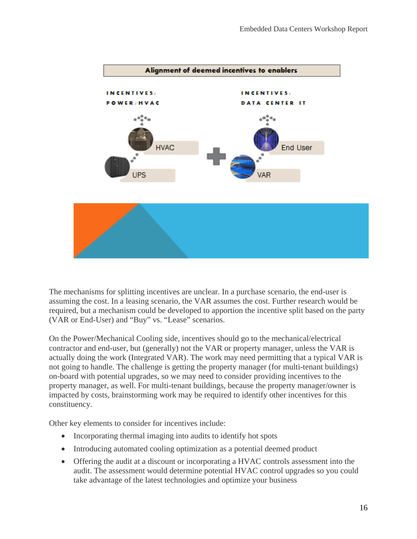

The mechanisms for splitting incentives are unclear. In a purchase scenario, the end-user is assuming the cost. In a leasing scenario, the VAR assumes the cost. Further research would be required, but a mechanism could be developed to apportion the incentive split based on the party (VAR or End-User) and "Buy" vs. "Lease" scenarios.

On the Power/Mechanical Cooling side, incentives should go to the mechanical/electrical contractor and end-user, but (generally) not the VAR or property manager, unless the VAR is actually doing the work (Integrated VAR). The work may need permitting that a typical VAR is not going to handle. The challenge is getting the property manager (for multi-tenant buildings) on-board with potential upgrades, so we may need to consider providing incentives to the property manager, as well. For multi-tenant buildings, because the property manager/owner is impacted by costs, brainstorming work may be required to identify other incentives for this constituency.

Other key elements to consider for incentives include:

- Incorporating thermal imaging into audits to identify hot spots
- Introducing automated cooling optimization as a potential deemed product
- Offering the audit at a discount or incorporating a HVAC controls assessment into the audit. The assessment would determine potential HVAC control upgrades so you could take advantage of the latest technologies and optimize your business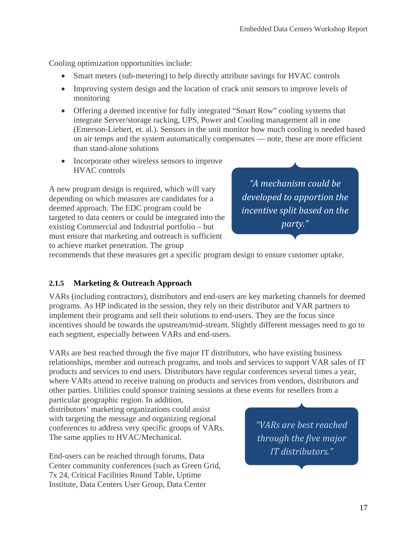Cooling optimization opportunities include:

- Smart meters (sub-metering) to help directly attribute savings for HVAC controls
- Improving system design and the location of crack unit sensors to improve levels of monitoring
- Offering a deemed incentive for fully integrated "Smart Row" cooling systems that integrate Server/storage racking, UPS, Power and Cooling management all in one (Emerson-Liebert, et. al.). Sensors in the unit monitor how much cooling is needed based on air temps and the system automatically compensates — note, these are more efficient than stand-alone solutions
- Incorporate other wireless sensors to improve HVAC controls

A new program design is required, which will vary depending on which measures are candidates for a deemed approach. The EDC program could be targeted to data centers or could be integrated into the existing Commercial and Industrial portfolio – but must ensure that marketing and outreach is sufficient to achieve market penetration. The group

*"A mechanism could be developed to apportion the incentive split based on the party."*

recommends that these measures get a specific program design to ensure customer uptake.

# <span id="page-23-0"></span>**2.1.5 Marketing & Outreach Approach**

VARs (including contractors), distributors and end-users are key marketing channels for deemed programs. As HP indicated in the session, they rely on their distributor and VAR partners to implement their programs and sell their solutions to end-users. They are the focus since incentives should be towards the upstream/mid-stream. Slightly different messages need to go to each segment, especially between VARs and end-users.

VARs are best reached through the five major IT distributors, who have existing business relationships, member and outreach programs, and tools and services to support VAR sales of IT products and services to end users. Distributors have regular conferences several times a year, where VARs attend to receive training on products and services from vendors, distributors and other parties. Utilities could sponsor training sessions at these events for resellers from a

particular geographic region. In addition, distributors' marketing organizations could assist with targeting the message and organizing regional conferences to address very specific groups of VARs. The same applies to HVAC/Mechanical.

End-users can be reached through forums, Data Center community conferences (such as Green Grid, 7x 24, Critical Facilities Round Table, Uptime Institute, Data Centers User Group, Data Center

*"VARs are best reached through the five major IT distributors."*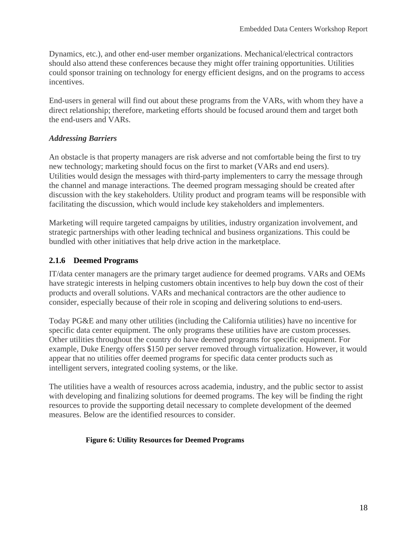Dynamics, etc.), and other end-user member organizations. Mechanical/electrical contractors should also attend these conferences because they might offer training opportunities. Utilities could sponsor training on technology for energy efficient designs, and on the programs to access incentives.

End-users in general will find out about these programs from the VARs, with whom they have a direct relationship; therefore, marketing efforts should be focused around them and target both the end-users and VARs.

#### *Addressing Barriers*

An obstacle is that property managers are risk adverse and not comfortable being the first to try new technology; marketing should focus on the first to market (VARs and end users). Utilities would design the messages with third-party implementers to carry the message through the channel and manage interactions. The deemed program messaging should be created after discussion with the key stakeholders. Utility product and program teams will be responsible with facilitating the discussion, which would include key stakeholders and implementers.

Marketing will require targeted campaigns by utilities, industry organization involvement, and strategic partnerships with other leading technical and business organizations. This could be bundled with other initiatives that help drive action in the marketplace.

# <span id="page-24-0"></span>**2.1.6 Deemed Programs**

IT/data center managers are the primary target audience for deemed programs. VARs and OEMs have strategic interests in helping customers obtain incentives to help buy down the cost of their products and overall solutions. VARs and mechanical contractors are the other audience to consider, especially because of their role in scoping and delivering solutions to end-users.

Today PG&E and many other utilities (including the California utilities) have no incentive for specific data center equipment. The only programs these utilities have are custom processes. Other utilities throughout the country do have deemed programs for specific equipment. For example, Duke Energy offers \$150 per server removed through virtualization. However, it would appear that no utilities offer deemed programs for specific data center products such as intelligent servers, integrated cooling systems, or the like.

The utilities have a wealth of resources across academia, industry, and the public sector to assist with developing and finalizing solutions for deemed programs. The key will be finding the right resources to provide the supporting detail necessary to complete development of the deemed measures. Below are the identified resources to consider.

#### **Figure 6: Utility Resources for Deemed Programs**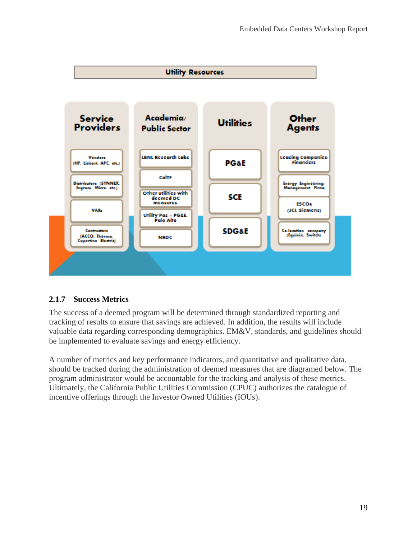

# <span id="page-25-0"></span>**2.1.7 Success Metrics**

The success of a deemed program will be determined through standardized reporting and tracking of results to ensure that savings are achieved. In addition, the results will include valuable data regarding corresponding demographics. EM&V, standards, and guidelines should be implemented to evaluate savings and energy efficiency.

A number of metrics and key performance indicators, and quantitative and qualitative data, should be tracked during the administration of deemed measures that are diagramed below. The program administrator would be accountable for the tracking and analysis of these metrics. Ultimately, the California Public Utilities Commission (CPUC) authorizes the catalogue of incentive offerings through the Investor Owned Utilities (IOUs).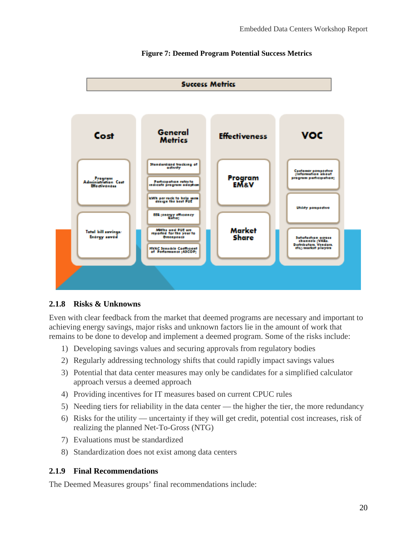

#### **Figure 7: Deemed Program Potential Success Metrics**

#### <span id="page-26-0"></span>**2.1.8 Risks & Unknowns**

Even with clear feedback from the market that deemed programs are necessary and important to achieving energy savings, major risks and unknown factors lie in the amount of work that remains to be done to develop and implement a deemed program. Some of the risks include:

- 1) Developing savings values and securing approvals from regulatory bodies
- 2) Regularly addressing technology shifts that could rapidly impact savings values
- 3) Potential that data center measures may only be candidates for a simplified calculator approach versus a deemed approach
- 4) Providing incentives for IT measures based on current CPUC rules
- 5) Needing tiers for reliability in the data center the higher the tier, the more redundancy
- 6) Risks for the utility uncertainty if they will get credit, potential cost increases, risk of realizing the planned Net-To-Gross (NTG)
- 7) Evaluations must be standardized
- 8) Standardization does not exist among data centers

#### <span id="page-26-1"></span>**2.1.9 Final Recommendations**

The Deemed Measures groups' final recommendations include: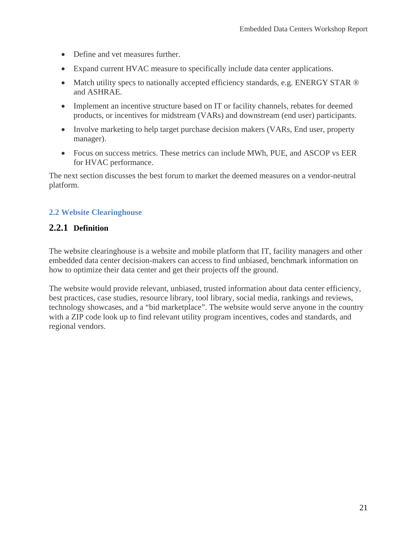- Define and vet measures further.
- Expand current HVAC measure to specifically include data center applications.
- Match utility specs to nationally accepted efficiency standards, e.g. ENERGY STAR  $\circledR$ and ASHRAE.
- Implement an incentive structure based on IT or facility channels, rebates for deemed products, or incentives for midstream (VARs) and downstream (end user) participants.
- Involve marketing to help target purchase decision makers (VARs, End user, property manager).
- Focus on success metrics. These metrics can include MWh, PUE, and ASCOP vs EER for HVAC performance.

The next section discusses the best forum to market the deemed measures on a vendor-neutral platform.

#### <span id="page-27-0"></span>**2.2 Website Clearinghouse**

#### <span id="page-27-1"></span>**2.2.1 Definition**

The website clearinghouse is a website and mobile platform that IT, facility managers and other embedded data center decision-makers can access to find unbiased, benchmark information on how to optimize their data center and get their projects off the ground.

The website would provide relevant, unbiased, trusted information about data center efficiency, best practices, case studies, resource library, tool library, social media, rankings and reviews, technology showcases, and a "bid marketplace". The website would serve anyone in the country with a ZIP code look up to find relevant utility program incentives, codes and standards, and regional vendors.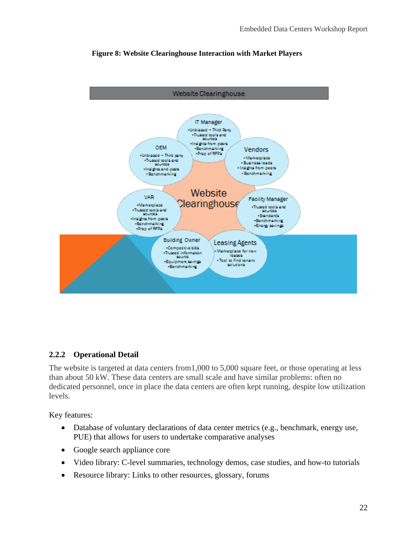

#### **Figure 8: Website Clearinghouse Interaction with Market Players**

# <span id="page-28-0"></span>**2.2.2 Operational Detail**

The website is targeted at data centers from1,000 to 5,000 square feet, or those operating at less than about 50 kW. These data centers are small scale and have similar problems: often no dedicated personnel, once in place the data centers are often kept running, despite low utilization levels.

Key features:

- Database of voluntary declarations of data center metrics (e.g., benchmark, energy use, PUE) that allows for users to undertake comparative analyses
- Google search appliance core
- Video library: C-level summaries, technology demos, case studies, and how-to tutorials
- Resource library: Links to other resources, glossary, forums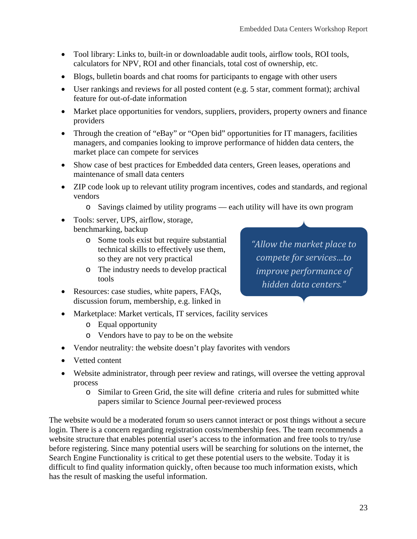- Tool library: Links to, built-in or downloadable audit tools, airflow tools, ROI tools, calculators for NPV, ROI and other financials, total cost of ownership, etc.
- Blogs, bulletin boards and chat rooms for participants to engage with other users
- User rankings and reviews for all posted content (e.g. 5 star, comment format); archival feature for out-of-date information
- Market place opportunities for vendors, suppliers, providers, property owners and finance providers
- Through the creation of "eBay" or "Open bid" opportunities for IT managers, facilities managers, and companies looking to improve performance of hidden data centers, the market place can compete for services
- Show case of best practices for Embedded data centers, Green leases, operations and maintenance of small data centers
- ZIP code look up to relevant utility program incentives, codes and standards, and regional vendors
	- o Savings claimed by utility programs each utility will have its own program
- Tools: server, UPS, airflow, storage, benchmarking, backup
	- o Some tools exist but require substantial technical skills to effectively use them, so they are not very practical
	- o The industry needs to develop practical tools
- Resources: case studies, white papers, FAQs, discussion forum, membership, e.g. linked in
- Marketplace: Market verticals, IT services, facility services
	- o Equal opportunity
	- o Vendors have to pay to be on the website
- Vendor neutrality: the website doesn't play favorites with vendors
- Vetted content
- Website administrator, through peer review and ratings, will oversee the vetting approval process
	- o Similar to Green Grid, the site will define criteria and rules for submitted white papers similar to Science Journal peer-reviewed process

The website would be a moderated forum so users cannot interact or post things without a secure login. There is a concern regarding registration costs/membership fees. The team recommends a website structure that enables potential user's access to the information and free tools to try/use before registering. Since many potential users will be searching for solutions on the internet, the Search Engine Functionality is critical to get these potential users to the website. Today it is difficult to find quality information quickly, often because too much information exists, which has the result of masking the useful information.

*"Allow the market place to compete for services…to improve performance of hidden data centers."*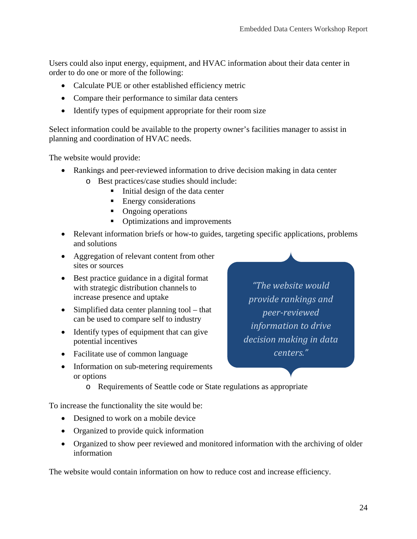Users could also input energy, equipment, and HVAC information about their data center in order to do one or more of the following:

- Calculate PUE or other established efficiency metric
- Compare their performance to similar data centers
- Identify types of equipment appropriate for their room size

Select information could be available to the property owner's facilities manager to assist in planning and coordination of HVAC needs.

The website would provide:

- Rankings and peer-reviewed information to drive decision making in data center
	- o Best practices/case studies should include:
		- $\blacksquare$  Initial design of the data center
		- **Energy considerations**
		- Ongoing operations
		- Optimizations and improvements
- Relevant information briefs or how-to guides, targeting specific applications, problems and solutions
- Aggregation of relevant content from other sites or sources
- Best practice guidance in a digital format with strategic distribution channels to increase presence and uptake
- Simplified data center planning tool that can be used to compare self to industry
- Identify types of equipment that can give potential incentives
- Facilitate use of common language
- Information on sub-metering requirements or options
	- o Requirements of Seattle code or State regulations as appropriate

To increase the functionality the site would be:

- Designed to work on a mobile device
- Organized to provide quick information
- Organized to show peer reviewed and monitored information with the archiving of older information

The website would contain information on how to reduce cost and increase efficiency.

*"The website would provide rankings and peer-reviewed information to drive decision making in data centers."*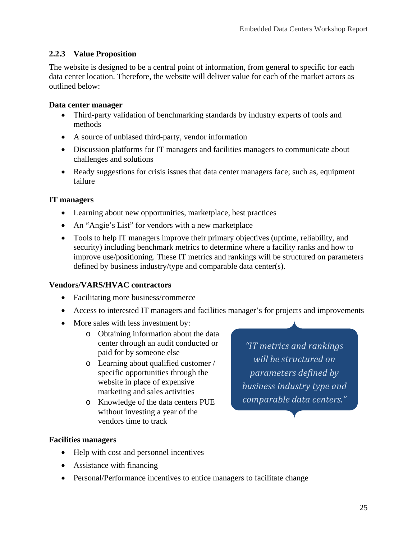#### <span id="page-31-0"></span>**2.2.3 Value Proposition**

The website is designed to be a central point of information, from general to specific for each data center location. Therefore, the website will deliver value for each of the market actors as outlined below:

#### **Data center manager**

- Third-party validation of benchmarking standards by industry experts of tools and methods
- A source of unbiased third-party, vendor information
- Discussion platforms for IT managers and facilities managers to communicate about challenges and solutions
- Ready suggestions for crisis issues that data center managers face; such as, equipment failure

#### **IT managers**

- Learning about new opportunities, marketplace, best practices
- An "Angie's List" for vendors with a new marketplace
- Tools to help IT managers improve their primary objectives (uptime, reliability, and security) including benchmark metrics to determine where a facility ranks and how to improve use/positioning. These IT metrics and rankings will be structured on parameters defined by business industry/type and comparable data center(s).

#### **Vendors/VARS/HVAC contractors**

- Facilitating more business/commerce
- Access to interested IT managers and facilities manager's for projects and improvements
- More sales with less investment by:
	- o Obtaining information about the data center through an audit conducted or paid for by someone else
	- o Learning about qualified customer / specific opportunities through the website in place of expensive marketing and sales activities
	- o Knowledge of the data centers PUE without investing a year of the vendors time to track

*"IT metrics and rankings will be structured on parameters defined by business industry type and comparable data centers."*

#### **Facilities managers**

- Help with cost and personnel incentives
- Assistance with financing
- Personal/Performance incentives to entice managers to facilitate change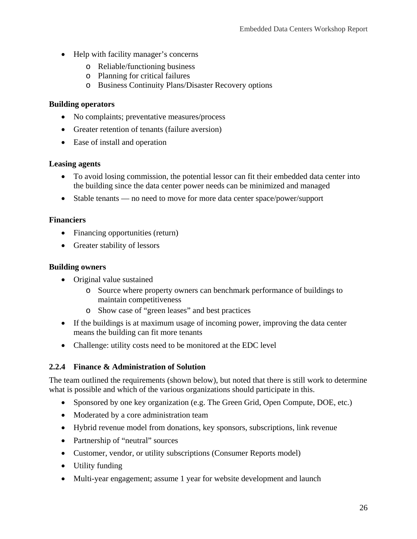- Help with facility manager's concerns
	- o Reliable/functioning business
	- o Planning for critical failures
	- o Business Continuity Plans/Disaster Recovery options

#### **Building operators**

- No complaints; preventative measures/process
- Greater retention of tenants (failure aversion)
- Ease of install and operation

#### **Leasing agents**

- To avoid losing commission, the potential lessor can fit their embedded data center into the building since the data center power needs can be minimized and managed
- Stable tenants no need to move for more data center space/power/support

#### **Financiers**

- Financing opportunities (return)
- Greater stability of lessors

#### **Building owners**

- Original value sustained
	- o Source where property owners can benchmark performance of buildings to maintain competitiveness
	- o Show case of "green leases" and best practices
- If the buildings is at maximum usage of incoming power, improving the data center means the building can fit more tenants
- Challenge: utility costs need to be monitored at the EDC level

#### <span id="page-32-0"></span>**2.2.4 Finance & Administration of Solution**

The team outlined the requirements (shown below), but noted that there is still work to determine what is possible and which of the various organizations should participate in this.

- Sponsored by one key organization (e.g. The Green Grid, Open Compute, DOE, etc.)
- Moderated by a core administration team
- Hybrid revenue model from donations, key sponsors, subscriptions, link revenue
- Partnership of "neutral" sources
- Customer, vendor, or utility subscriptions (Consumer Reports model)
- Utility funding
- Multi-year engagement; assume 1 year for website development and launch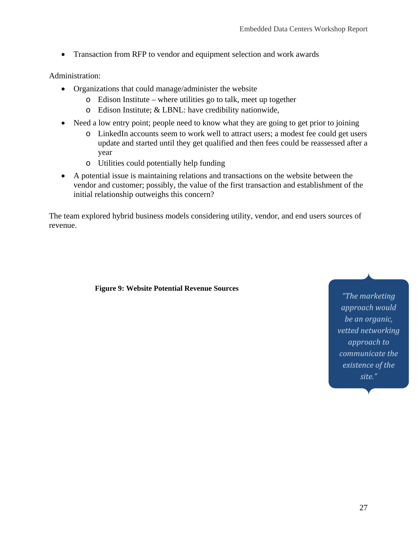• Transaction from RFP to vendor and equipment selection and work awards

#### Administration:

- Organizations that could manage/administer the website
	- o Edison Institute where utilities go to talk, meet up together
	- o Edison Institute; & LBNL: have credibility nationwide,
- Need a low entry point; people need to know what they are going to get prior to joining
	- o LinkedIn accounts seem to work well to attract users; a modest fee could get users update and started until they get qualified and then fees could be reassessed after a year
	- o Utilities could potentially help funding
- A potential issue is maintaining relations and transactions on the website between the vendor and customer; possibly, the value of the first transaction and establishment of the initial relationship outweighs this concern?

The team explored hybrid business models considering utility, vendor, and end users sources of revenue.

#### **Figure 9: Website Potential Revenue Sources**

*"The marketing approach would be an organic, vetted networking approach to communicate the existence of the site."*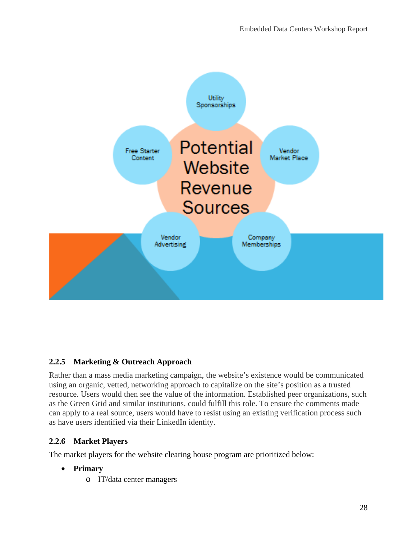

# <span id="page-34-0"></span>**2.2.5 Marketing & Outreach Approach**

Rather than a mass media marketing campaign, the website's existence would be communicated using an organic, vetted, networking approach to capitalize on the site's position as a trusted resource. Users would then see the value of the information. Established peer organizations, such as the Green Grid and similar institutions, could fulfill this role. To ensure the comments made can apply to a real source, users would have to resist using an existing verification process such as have users identified via their LinkedIn identity.

# <span id="page-34-1"></span>**2.2.6 Market Players**

The market players for the website clearing house program are prioritized below:

#### • **Primary**

o IT/data center managers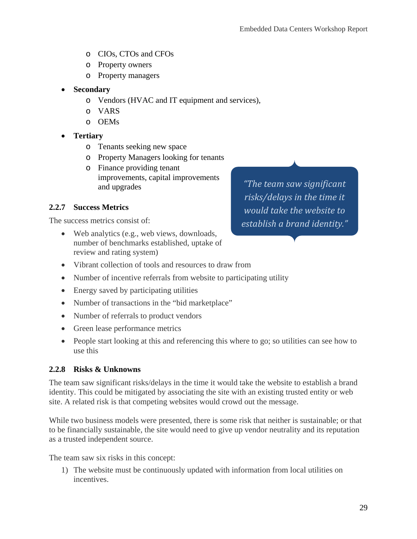- o CIOs, CTOs and CFOs
- o Property owners
- o Property managers
- **Secondary** 
	- o Vendors (HVAC and IT equipment and services),
	- o VARS
	- o OEMs
- **Tertiary**
	- o Tenants seeking new space
	- o Property Managers looking for tenants
	- o Finance providing tenant improvements, capital improvements and upgrades

#### <span id="page-35-0"></span>**2.2.7 Success Metrics**

The success metrics consist of:

- Web analytics (e.g., web views, downloads, number of benchmarks established, uptake of review and rating system)
- Vibrant collection of tools and resources to draw from
- Number of incentive referrals from website to participating utility
- Energy saved by participating utilities
- Number of transactions in the "bid marketplace"
- Number of referrals to product vendors
- Green lease performance metrics
- People start looking at this and referencing this where to go; so utilities can see how to use this

#### <span id="page-35-1"></span>**2.2.8 Risks & Unknowns**

The team saw significant risks/delays in the time it would take the website to establish a brand identity. This could be mitigated by associating the site with an existing trusted entity or web site. A related risk is that competing websites would crowd out the message.

While two business models were presented, there is some risk that neither is sustainable; or that to be financially sustainable, the site would need to give up vendor neutrality and its reputation as a trusted independent source.

The team saw six risks in this concept:

1) The website must be continuously updated with information from local utilities on incentives.

*"The team saw significant risks/delays in the time it would take the website to establish a brand identity."*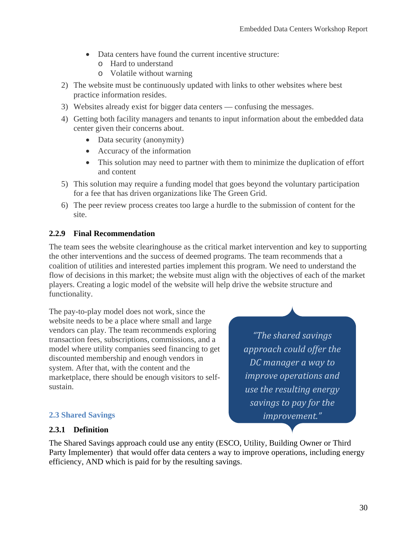- Data centers have found the current incentive structure:
	- o Hard to understand
	- o Volatile without warning
- 2) The website must be continuously updated with links to other websites where best practice information resides.
- 3) Websites already exist for bigger data centers confusing the messages.
- 4) Getting both facility managers and tenants to input information about the embedded data center given their concerns about.
	- Data security (anonymity)
	- Accuracy of the information
	- This solution may need to partner with them to minimize the duplication of effort and content
- 5) This solution may require a funding model that goes beyond the voluntary participation for a fee that has driven organizations like The Green Grid.
- 6) The peer review process creates too large a hurdle to the submission of content for the site.

### **2.2.9 Final Recommendation**

The team sees the website clearinghouse as the critical market intervention and key to supporting the other interventions and the success of deemed programs. The team recommends that a coalition of utilities and interested parties implement this program. We need to understand the flow of decisions in this market; the website must align with the objectives of each of the market players. Creating a logic model of the website will help drive the website structure and functionality.

The pay-to-play model does not work, since the website needs to be a place where small and large vendors can play. The team recommends exploring transaction fees, subscriptions, commissions, and a model where utility companies seed financing to get discounted membership and enough vendors in system. After that, with the content and the marketplace, there should be enough visitors to selfsustain.

*"The shared savings approach could offer the DC manager a way to improve operations and use the resulting energy savings to pay for the improvement."*

### **2.3 Shared Savings**

#### **2.3.1 Definition**

The Shared Savings approach could use any entity (ESCO, Utility, Building Owner or Third Party Implementer) that would offer data centers a way to improve operations, including energy efficiency, AND which is paid for by the resulting savings.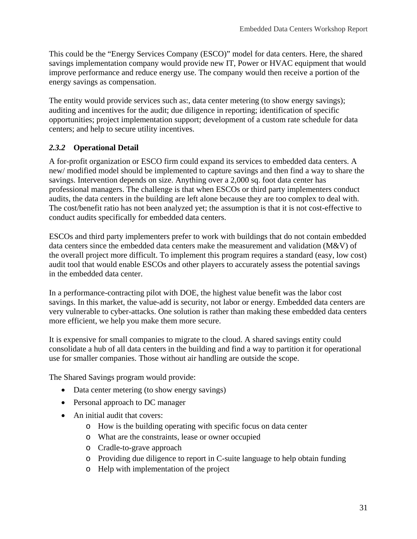This could be the "Energy Services Company (ESCO)" model for data centers. Here, the shared savings implementation company would provide new IT, Power or HVAC equipment that would improve performance and reduce energy use. The company would then receive a portion of the energy savings as compensation.

The entity would provide services such as:, data center metering (to show energy savings); auditing and incentives for the audit; due diligence in reporting; identification of specific opportunities; project implementation support; development of a custom rate schedule for data centers; and help to secure utility incentives.

### *2.3.2* **Operational Detail**

A for-profit organization or ESCO firm could expand its services to embedded data centers. A new/ modified model should be implemented to capture savings and then find a way to share the savings. Intervention depends on size. Anything over a 2,000 sq. foot data center has professional managers. The challenge is that when ESCOs or third party implementers conduct audits, the data centers in the building are left alone because they are too complex to deal with. The cost/benefit ratio has not been analyzed yet; the assumption is that it is not cost-effective to conduct audits specifically for embedded data centers.

ESCOs and third party implementers prefer to work with buildings that do not contain embedded data centers since the embedded data centers make the measurement and validation (M&V) of the overall project more difficult. To implement this program requires a standard (easy, low cost) audit tool that would enable ESCOs and other players to accurately assess the potential savings in the embedded data center.

In a performance-contracting pilot with DOE, the highest value benefit was the labor cost savings. In this market, the value-add is security, not labor or energy. Embedded data centers are very vulnerable to cyber-attacks. One solution is rather than making these embedded data centers more efficient, we help you make them more secure.

It is expensive for small companies to migrate to the cloud. A shared savings entity could consolidate a hub of all data centers in the building and find a way to partition it for operational use for smaller companies. Those without air handling are outside the scope.

The Shared Savings program would provide:

- Data center metering (to show energy savings)
- Personal approach to DC manager
- An initial audit that covers:
	- o How is the building operating with specific focus on data center
	- o What are the constraints, lease or owner occupied
	- o Cradle-to-grave approach
	- o Providing due diligence to report in C-suite language to help obtain funding
	- o Help with implementation of the project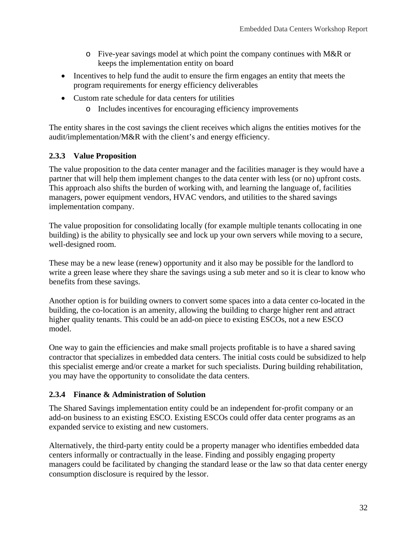- $\circ$  Five-year savings model at which point the company continues with M&R or keeps the implementation entity on board
- Incentives to help fund the audit to ensure the firm engages an entity that meets the program requirements for energy efficiency deliverables
- Custom rate schedule for data centers for utilities
	- o Includes incentives for encouraging efficiency improvements

The entity shares in the cost savings the client receives which aligns the entities motives for the audit/implementation/M&R with the client's and energy efficiency.

### **2.3.3 Value Proposition**

The value proposition to the data center manager and the facilities manager is they would have a partner that will help them implement changes to the data center with less (or no) upfront costs. This approach also shifts the burden of working with, and learning the language of, facilities managers, power equipment vendors, HVAC vendors, and utilities to the shared savings implementation company.

The value proposition for consolidating locally (for example multiple tenants collocating in one building) is the ability to physically see and lock up your own servers while moving to a secure, well-designed room.

These may be a new lease (renew) opportunity and it also may be possible for the landlord to write a green lease where they share the savings using a sub meter and so it is clear to know who benefits from these savings.

Another option is for building owners to convert some spaces into a data center co-located in the building, the co-location is an amenity, allowing the building to charge higher rent and attract higher quality tenants. This could be an add-on piece to existing ESCOs, not a new ESCO model.

One way to gain the efficiencies and make small projects profitable is to have a shared saving contractor that specializes in embedded data centers. The initial costs could be subsidized to help this specialist emerge and/or create a market for such specialists. During building rehabilitation, you may have the opportunity to consolidate the data centers.

### **2.3.4 Finance & Administration of Solution**

The Shared Savings implementation entity could be an independent for-profit company or an add-on business to an existing ESCO. Existing ESCOs could offer data center programs as an expanded service to existing and new customers.

Alternatively, the third-party entity could be a property manager who identifies embedded data centers informally or contractually in the lease. Finding and possibly engaging property managers could be facilitated by changing the standard lease or the law so that data center energy consumption disclosure is required by the lessor.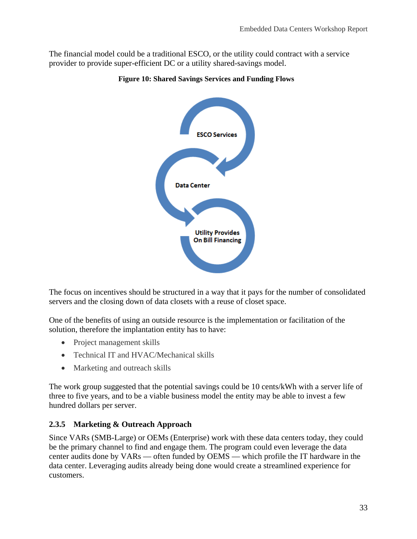The financial model could be a traditional ESCO, or the utility could contract with a service provider to provide super-efficient DC or a utility shared-savings model.





The focus on incentives should be structured in a way that it pays for the number of consolidated servers and the closing down of data closets with a reuse of closet space.

One of the benefits of using an outside resource is the implementation or facilitation of the solution, therefore the implantation entity has to have:

- Project management skills
- Technical IT and HVAC/Mechanical skills
- Marketing and outreach skills

The work group suggested that the potential savings could be 10 cents/kWh with a server life of three to five years, and to be a viable business model the entity may be able to invest a few hundred dollars per server.

### **2.3.5 Marketing & Outreach Approach**

Since VARs (SMB-Large) or OEMs (Enterprise) work with these data centers today, they could be the primary channel to find and engage them. The program could even leverage the data center audits done by VARs — often funded by OEMS — which profile the IT hardware in the data center. Leveraging audits already being done would create a streamlined experience for customers.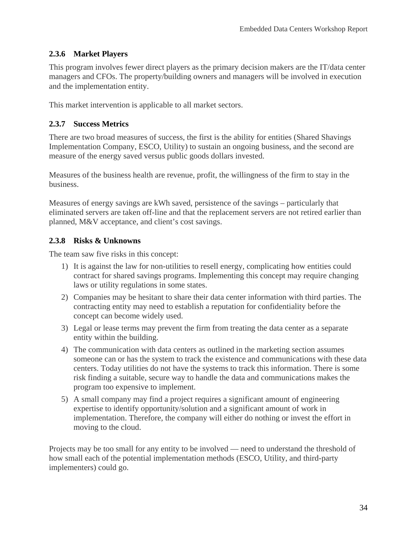### **2.3.6 Market Players**

This program involves fewer direct players as the primary decision makers are the IT/data center managers and CFOs. The property/building owners and managers will be involved in execution and the implementation entity.

This market intervention is applicable to all market sectors.

### **2.3.7 Success Metrics**

There are two broad measures of success, the first is the ability for entities (Shared Shavings Implementation Company, ESCO, Utility) to sustain an ongoing business, and the second are measure of the energy saved versus public goods dollars invested.

Measures of the business health are revenue, profit, the willingness of the firm to stay in the business.

Measures of energy savings are kWh saved, persistence of the savings – particularly that eliminated servers are taken off-line and that the replacement servers are not retired earlier than planned, M&V acceptance, and client's cost savings.

### **2.3.8 Risks & Unknowns**

The team saw five risks in this concept:

- 1) It is against the law for non-utilities to resell energy, complicating how entities could contract for shared savings programs. Implementing this concept may require changing laws or utility regulations in some states.
- 2) Companies may be hesitant to share their data center information with third parties. The contracting entity may need to establish a reputation for confidentiality before the concept can become widely used.
- 3) Legal or lease terms may prevent the firm from treating the data center as a separate entity within the building.
- 4) The communication with data centers as outlined in the marketing section assumes someone can or has the system to track the existence and communications with these data centers. Today utilities do not have the systems to track this information. There is some risk finding a suitable, secure way to handle the data and communications makes the program too expensive to implement.
- 5) A small company may find a project requires a significant amount of engineering expertise to identify opportunity/solution and a significant amount of work in implementation. Therefore, the company will either do nothing or invest the effort in moving to the cloud.

Projects may be too small for any entity to be involved — need to understand the threshold of how small each of the potential implementation methods (ESCO, Utility, and third-party implementers) could go.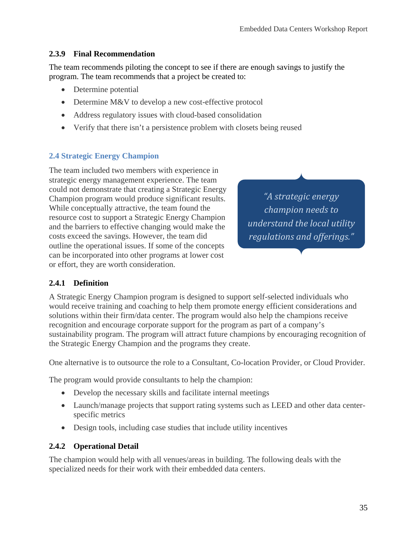#### **2.3.9 Final Recommendation**

The team recommends piloting the concept to see if there are enough savings to justify the program. The team recommends that a project be created to:

- Determine potential
- Determine M&V to develop a new cost-effective protocol
- Address regulatory issues with cloud-based consolidation
- Verify that there isn't a persistence problem with closets being reused

#### **2.4 Strategic Energy Champion**

The team included two members with experience in strategic energy management experience. The team could not demonstrate that creating a Strategic Energy Champion program would produce significant results. While conceptually attractive, the team found the resource cost to support a Strategic Energy Champion and the barriers to effective changing would make the costs exceed the savings. However, the team did outline the operational issues. If some of the concepts can be incorporated into other programs at lower cost or effort, they are worth consideration.

*"A strategic energy champion needs to understand the local utility regulations and offerings."*

#### **2.4.1 Definition**

A Strategic Energy Champion program is designed to support self-selected individuals who would receive training and coaching to help them promote energy efficient considerations and solutions within their firm/data center. The program would also help the champions receive recognition and encourage corporate support for the program as part of a company's sustainability program. The program will attract future champions by encouraging recognition of the Strategic Energy Champion and the programs they create.

One alternative is to outsource the role to a Consultant, Co-location Provider, or Cloud Provider.

The program would provide consultants to help the champion:

- Develop the necessary skills and facilitate internal meetings
- Launch/manage projects that support rating systems such as LEED and other data centerspecific metrics
- Design tools, including case studies that include utility incentives

#### **2.4.2 Operational Detail**

The champion would help with all venues/areas in building. The following deals with the specialized needs for their work with their embedded data centers.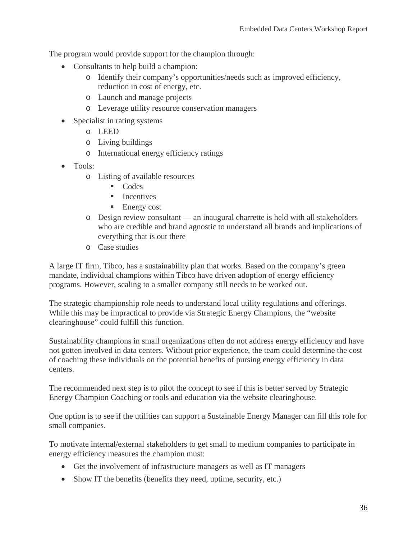The program would provide support for the champion through:

- Consultants to help build a champion:
	- o Identify their company's opportunities/needs such as improved efficiency, reduction in cost of energy, etc.
	- o Launch and manage projects
	- o Leverage utility resource conservation managers
- Specialist in rating systems
	- o LEED
	- o Living buildings
	- o International energy efficiency ratings
- Tools:
	- o Listing of available resources
		- Codes
		- **Incentives**
		- **Energy cost**
	- o Design review consultant an inaugural charrette is held with all stakeholders who are credible and brand agnostic to understand all brands and implications of everything that is out there
	- o Case studies

A large IT firm, Tibco, has a sustainability plan that works. Based on the company's green mandate, individual champions within Tibco have driven adoption of energy efficiency programs. However, scaling to a smaller company still needs to be worked out.

The strategic championship role needs to understand local utility regulations and offerings. While this may be impractical to provide via Strategic Energy Champions, the "website clearinghouse" could fulfill this function.

Sustainability champions in small organizations often do not address energy efficiency and have not gotten involved in data centers. Without prior experience, the team could determine the cost of coaching these individuals on the potential benefits of pursing energy efficiency in data centers.

The recommended next step is to pilot the concept to see if this is better served by Strategic Energy Champion Coaching or tools and education via the website clearinghouse.

One option is to see if the utilities can support a Sustainable Energy Manager can fill this role for small companies.

To motivate internal/external stakeholders to get small to medium companies to participate in energy efficiency measures the champion must:

- Get the involvement of infrastructure managers as well as IT managers
- Show IT the benefits (benefits they need, uptime, security, etc.)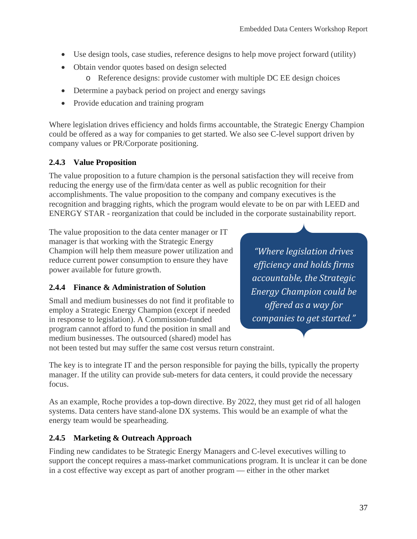- Use design tools, case studies, reference designs to help move project forward (utility)
- Obtain vendor quotes based on design selected
	- o Reference designs: provide customer with multiple DC EE design choices
- Determine a payback period on project and energy savings
- Provide education and training program

Where legislation drives efficiency and holds firms accountable, the Strategic Energy Champion could be offered as a way for companies to get started. We also see C-level support driven by company values or PR/Corporate positioning.

### **2.4.3 Value Proposition**

The value proposition to a future champion is the personal satisfaction they will receive from reducing the energy use of the firm/data center as well as public recognition for their accomplishments. The value proposition to the company and company executives is the recognition and bragging rights, which the program would elevate to be on par with LEED and ENERGY STAR - reorganization that could be included in the corporate sustainability report.

The value proposition to the data center manager or IT manager is that working with the Strategic Energy Champion will help them measure power utilization and reduce current power consumption to ensure they have power available for future growth.

### **2.4.4 Finance & Administration of Solution**

Small and medium businesses do not find it profitable to employ a Strategic Energy Champion (except if needed in response to legislation). A Commission-funded program cannot afford to fund the position in small and medium businesses. The outsourced (shared) model has

*"Where legislation drives efficiency and holds firms accountable, the Strategic Energy Champion could be offered as a way for companies to get started."*

not been tested but may suffer the same cost versus return constraint.

The key is to integrate IT and the person responsible for paying the bills, typically the property manager. If the utility can provide sub-meters for data centers, it could provide the necessary focus.

As an example, Roche provides a top-down directive. By 2022, they must get rid of all halogen systems. Data centers have stand-alone DX systems. This would be an example of what the energy team would be spearheading.

### **2.4.5 Marketing & Outreach Approach**

Finding new candidates to be Strategic Energy Managers and C-level executives willing to support the concept requires a mass-market communications program. It is unclear it can be done in a cost effective way except as part of another program — either in the other market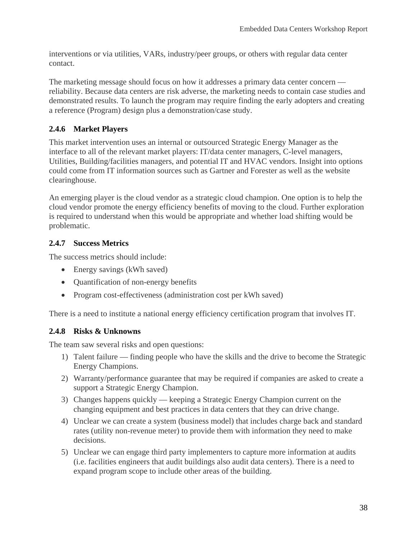interventions or via utilities, VARs, industry/peer groups, or others with regular data center contact.

The marketing message should focus on how it addresses a primary data center concern reliability. Because data centers are risk adverse, the marketing needs to contain case studies and demonstrated results. To launch the program may require finding the early adopters and creating a reference (Program) design plus a demonstration/case study.

### **2.4.6 Market Players**

This market intervention uses an internal or outsourced Strategic Energy Manager as the interface to all of the relevant market players: IT/data center managers, C-level managers, Utilities, Building/facilities managers, and potential IT and HVAC vendors. Insight into options could come from IT information sources such as Gartner and Forester as well as the website clearinghouse.

An emerging player is the cloud vendor as a strategic cloud champion. One option is to help the cloud vendor promote the energy efficiency benefits of moving to the cloud. Further exploration is required to understand when this would be appropriate and whether load shifting would be problematic.

### **2.4.7 Success Metrics**

The success metrics should include:

- Energy savings (kWh saved)
- **Quantification of non-energy benefits**
- Program cost-effectiveness (administration cost per kWh saved)

There is a need to institute a national energy efficiency certification program that involves IT.

### **2.4.8 Risks & Unknowns**

The team saw several risks and open questions:

- 1) Talent failure finding people who have the skills and the drive to become the Strategic Energy Champions.
- 2) Warranty/performance guarantee that may be required if companies are asked to create a support a Strategic Energy Champion.
- 3) Changes happens quickly keeping a Strategic Energy Champion current on the changing equipment and best practices in data centers that they can drive change.
- 4) Unclear we can create a system (business model) that includes charge back and standard rates (utility non-revenue meter) to provide them with information they need to make decisions.
- 5) Unclear we can engage third party implementers to capture more information at audits (i.e. facilities engineers that audit buildings also audit data centers). There is a need to expand program scope to include other areas of the building.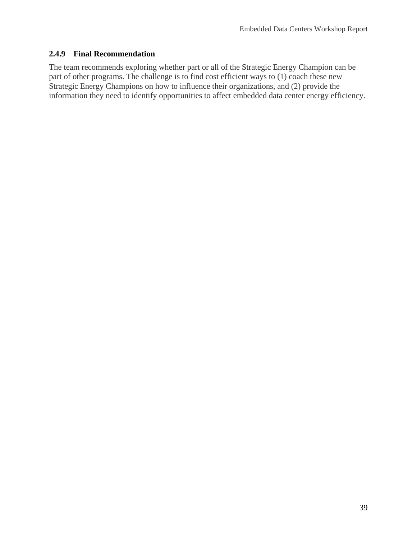#### **2.4.9 Final Recommendation**

The team recommends exploring whether part or all of the Strategic Energy Champion can be part of other programs. The challenge is to find cost efficient ways to (1) coach these new Strategic Energy Champions on how to influence their organizations, and (2) provide the information they need to identify opportunities to affect embedded data center energy efficiency.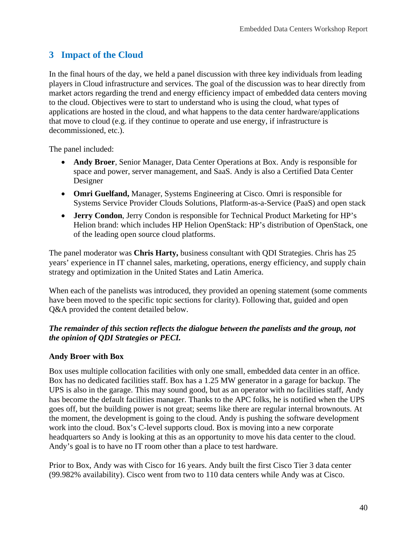# **3 Impact of the Cloud**

In the final hours of the day, we held a panel discussion with three key individuals from leading players in Cloud infrastructure and services. The goal of the discussion was to hear directly from market actors regarding the trend and energy efficiency impact of embedded data centers moving to the cloud. Objectives were to start to understand who is using the cloud, what types of applications are hosted in the cloud, and what happens to the data center hardware/applications that move to cloud (e.g. if they continue to operate and use energy, if infrastructure is decommissioned, etc.).

The panel included:

- **Andy Broer**, Senior Manager, Data Center Operations at Box. Andy is responsible for space and power, server management, and SaaS. Andy is also a Certified Data Center Designer
- **Omri Guelfand,** Manager, Systems Engineering at Cisco. Omri is responsible for Systems Service Provider Clouds Solutions, Platform-as-a-Service (PaaS) and open stack
- **Jerry Condon**, Jerry Condon is responsible for Technical Product Marketing for HP's Helion brand: which includes HP Helion OpenStack: HP's distribution of OpenStack, one of the leading open source cloud platforms.

The panel moderator was **Chris Harty,** business consultant with QDI Strategies. Chris has 25 years' experience in IT channel sales, marketing, operations, energy efficiency, and supply chain strategy and optimization in the United States and Latin America.

When each of the panelists was introduced, they provided an opening statement (some comments have been moved to the specific topic sections for clarity). Following that, guided and open Q&A provided the content detailed below.

#### *The remainder of this section reflects the dialogue between the panelists and the group, not the opinion of QDI Strategies or PECI.*

#### **Andy Broer with Box**

Box uses multiple collocation facilities with only one small, embedded data center in an office. Box has no dedicated facilities staff. Box has a 1.25 MW generator in a garage for backup. The UPS is also in the garage. This may sound good, but as an operator with no facilities staff, Andy has become the default facilities manager. Thanks to the APC folks, he is notified when the UPS goes off, but the building power is not great; seems like there are regular internal brownouts. At the moment, the development is going to the cloud. Andy is pushing the software development work into the cloud. Box's C-level supports cloud. Box is moving into a new corporate headquarters so Andy is looking at this as an opportunity to move his data center to the cloud. Andy's goal is to have no IT room other than a place to test hardware.

Prior to Box, Andy was with Cisco for 16 years. Andy built the first Cisco Tier 3 data center (99.982% availability). Cisco went from two to 110 data centers while Andy was at Cisco.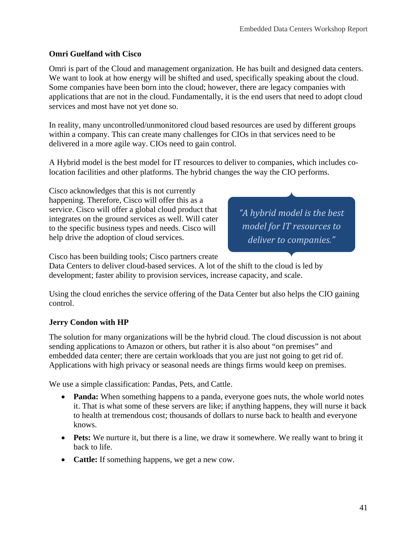### **Omri Guelfand with Cisco**

Omri is part of the Cloud and management organization. He has built and designed data centers. We want to look at how energy will be shifted and used, specifically speaking about the cloud. Some companies have been born into the cloud; however, there are legacy companies with applications that are not in the cloud. Fundamentally, it is the end users that need to adopt cloud services and most have not yet done so.

In reality, many uncontrolled/unmonitored cloud based resources are used by different groups within a company. This can create many challenges for CIOs in that services need to be delivered in a more agile way. CIOs need to gain control.

A Hybrid model is the best model for IT resources to deliver to companies, which includes colocation facilities and other platforms. The hybrid changes the way the CIO performs.

Cisco acknowledges that this is not currently happening. Therefore, Cisco will offer this as a service. Cisco will offer a global cloud product that integrates on the ground services as well. Will cater to the specific business types and needs. Cisco will help drive the adoption of cloud services.

*"A hybrid model is the best model for IT resources to deliver to companies."*

Cisco has been building tools; Cisco partners create

Data Centers to deliver cloud-based services. A lot of the shift to the cloud is led by development; faster ability to provision services, increase capacity, and scale.

Using the cloud enriches the service offering of the Data Center but also helps the CIO gaining control.

#### **Jerry Condon with HP**

The solution for many organizations will be the hybrid cloud. The cloud discussion is not about sending applications to Amazon or others, but rather it is also about "on premises" and embedded data center; there are certain workloads that you are just not going to get rid of. Applications with high privacy or seasonal needs are things firms would keep on premises.

We use a simple classification: Pandas, Pets, and Cattle.

- **Panda:** When something happens to a panda, everyone goes nuts, the whole world notes it. That is what some of these servers are like; if anything happens, they will nurse it back to health at tremendous cost; thousands of dollars to nurse back to health and everyone knows.
- **Pets:** We nurture it, but there is a line, we draw it somewhere. We really want to bring it back to life.
- **Cattle:** If something happens, we get a new cow.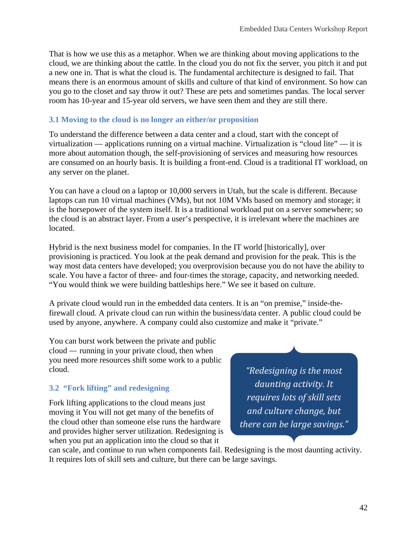That is how we use this as a metaphor. When we are thinking about moving applications to the cloud, we are thinking about the cattle. In the cloud you do not fix the server, you pitch it and put a new one in. That is what the cloud is. The fundamental architecture is designed to fail. That means there is an enormous amount of skills and culture of that kind of environment. So how can you go to the closet and say throw it out? These are pets and sometimes pandas. The local server room has 10-year and 15-year old servers, we have seen them and they are still there.

### **3.1 Moving to the cloud is no longer an either/or proposition**

To understand the difference between a data center and a cloud, start with the concept of virtualization — applications running on a virtual machine. Virtualization is "cloud lite" — it is more about automation though, the self-provisioning of services and measuring how resources are consumed on an hourly basis. It is building a front-end. Cloud is a traditional IT workload, on any server on the planet.

You can have a cloud on a laptop or 10,000 servers in Utah, but the scale is different. Because laptops can run 10 virtual machines (VMs), but not 10M VMs based on memory and storage; it is the horsepower of the system itself. It is a traditional workload put on a server somewhere; so the cloud is an abstract layer. From a user's perspective, it is irrelevant where the machines are located.

Hybrid is the next business model for companies. In the IT world [historically], over provisioning is practiced. You look at the peak demand and provision for the peak. This is the way most data centers have developed; you overprovision because you do not have the ability to scale. You have a factor of three- and four-times the storage, capacity, and networking needed. "You would think we were building battleships here." We see it based on culture.

A private cloud would run in the embedded data centers. It is an "on premise," inside-thefirewall cloud. A private cloud can run within the business/data center. A public cloud could be used by anyone, anywhere. A company could also customize and make it "private."

You can burst work between the private and public cloud — running in your private cloud, then when you need more resources shift some work to a public cloud.

### **3.2 "Fork lifting" and redesigning**

Fork lifting applications to the cloud means just moving it You will not get many of the benefits of the cloud other than someone else runs the hardware and provides higher server utilization. Redesigning is when you put an application into the cloud so that it

*"Redesigning is the most daunting activity. It requires lots of skill sets and culture change, but there can be large savings."*

can scale, and continue to run when components fail. Redesigning is the most daunting activity. It requires lots of skill sets and culture, but there can be large savings.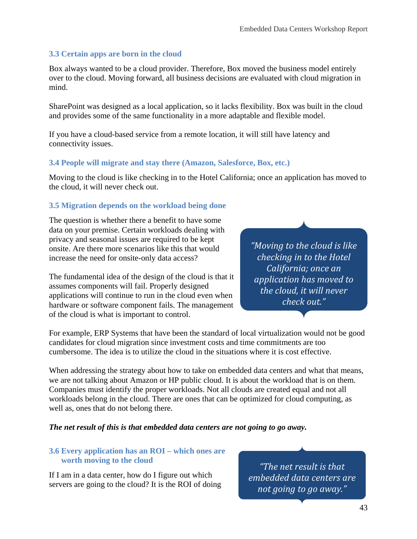### **3.3 Certain apps are born in the cloud**

Box always wanted to be a cloud provider. Therefore, Box moved the business model entirely over to the cloud. Moving forward, all business decisions are evaluated with cloud migration in mind.

SharePoint was designed as a local application, so it lacks flexibility. Box was built in the cloud and provides some of the same functionality in a more adaptable and flexible model.

If you have a cloud-based service from a remote location, it will still have latency and connectivity issues.

#### **3.4 People will migrate and stay there (Amazon, Salesforce, Box, etc.)**

Moving to the cloud is like checking in to the Hotel California; once an application has moved to the cloud, it will never check out.

#### **3.5 Migration depends on the workload being done**

The question is whether there a benefit to have some data on your premise. Certain workloads dealing with privacy and seasonal issues are required to be kept onsite. Are there more scenarios like this that would increase the need for onsite-only data access?

The fundamental idea of the design of the cloud is that it assumes components will fail. Properly designed applications will continue to run in the cloud even when hardware or software component fails. The management of the cloud is what is important to control.

*"Moving to the cloud is like checking in to the Hotel California; once an application has moved to the cloud, it will never check out."*

For example, ERP Systems that have been the standard of local virtualization would not be good candidates for cloud migration since investment costs and time commitments are too cumbersome. The idea is to utilize the cloud in the situations where it is cost effective.

When addressing the strategy about how to take on embedded data centers and what that means, we are not talking about Amazon or HP public cloud. It is about the workload that is on them. Companies must identify the proper workloads. Not all clouds are created equal and not all workloads belong in the cloud. There are ones that can be optimized for cloud computing, as well as, ones that do not belong there.

*The net result of this is that embedded data centers are not going to go away.*

#### **3.6 Every application has an ROI – which ones are worth moving to the cloud**

If I am in a data center, how do I figure out which servers are going to the cloud? It is the ROI of doing

*"The net result is that embedded data centers are not going to go away."*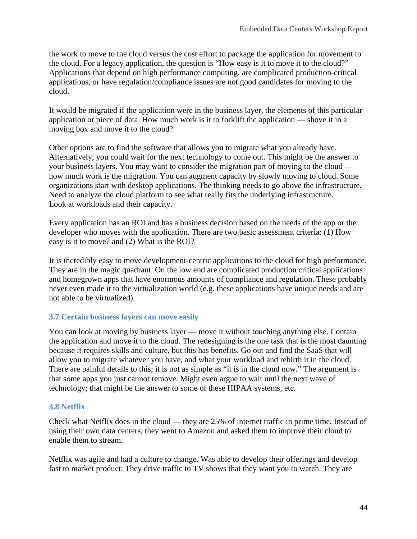the work to move to the cloud versus the cost effort to package the application for movement to the cloud. For a legacy application, the question is "How easy is it to move it to the cloud?" Applications that depend on high performance computing, are complicated production-critical applications, or have regulation/compliance issues are not good candidates for moving to the cloud.

It would be migrated if the application were in the business layer, the elements of this particular application or piece of data. How much work is it to forklift the application — shove it in a moving box and move it to the cloud?

Other options are to find the software that allows you to migrate what you already have. Alternatively, you could wait for the next technology to come out. This might be the answer to your business layers. You may want to consider the migration part of moving to the cloud how much work is the migration. You can augment capacity by slowly moving to cloud. Some organizations start with desktop applications. The thinking needs to go above the infrastructure. Need to analyze the cloud platform to see what really fits the underlying infrastructure. Look at workloads and their capacity.

Every application has an ROI and has a business decision based on the needs of the app or the developer who moves with the application. There are two basic assessment criteria: (1) How easy is it to move? and (2) What is the ROI?

It is incredibly easy to move development-centric applications to the cloud for high performance. They are in the magic quadrant. On the low end are complicated production critical applications and homegrown apps that have enormous amounts of compliance and regulation. These probably never even made it to the virtualization world (e.g. these applications have unique needs and are not able to be virtualized).

### **3.7 Certain business layers can move easily**

You can look at moving by business layer — move it without touching anything else. Contain the application and move it to the cloud. The redesigning is the one task that is the most daunting because it requires skills and culture, but this has benefits. Go out and find the SaaS that will allow you to migrate whatever you have, and what your workload and rebirth it in the cloud. There are painful details to this; it is not as simple as "it is in the cloud now." The argument is that some apps you just cannot remove. Might even argue to wait until the next wave of technology; that might be the answer to some of these HIPAA systems, etc.

### **3.8 Netflix**

Check what Netflix does in the cloud — they are 25% of internet traffic in prime time. Instead of using their own data centers, they went to Amazon and asked them to improve their cloud to enable them to stream.

Netflix was agile and had a culture to change. Was able to develop their offerings and develop fast to market product. They drive traffic to TV shows that they want you to watch. They are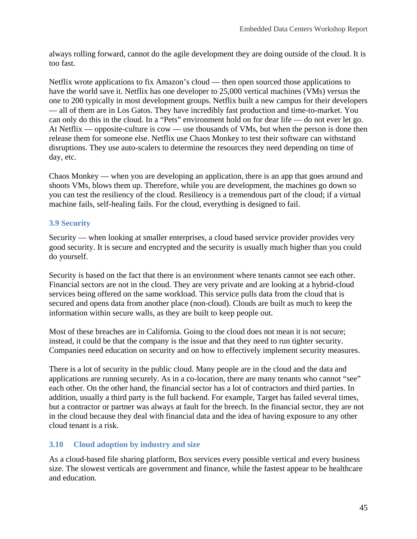always rolling forward, cannot do the agile development they are doing outside of the cloud. It is too fast.

Netflix wrote applications to fix Amazon's cloud — then open sourced those applications to have the world save it. Netflix has one developer to 25,000 vertical machines (VMs) versus the one to 200 typically in most development groups. Netflix built a new campus for their developers — all of them are in Los Gatos. They have incredibly fast production and time-to-market. You can only do this in the cloud. In a "Pets" environment hold on for dear life — do not ever let go. At Netflix — opposite-culture is cow — use thousands of VMs, but when the person is done then release them for someone else. Netflix use Chaos Monkey to test their software can withstand disruptions. They use auto-scalers to determine the resources they need depending on time of day, etc.

Chaos Monkey — when you are developing an application, there is an app that goes around and shoots VMs, blows them up. Therefore, while you are development, the machines go down so you can test the resiliency of the cloud. Resiliency is a tremendous part of the cloud; if a virtual machine fails, self-healing fails. For the cloud, everything is designed to fail.

### **3.9 Security**

Security — when looking at smaller enterprises, a cloud based service provider provides very good security. It is secure and encrypted and the security is usually much higher than you could do yourself.

Security is based on the fact that there is an environment where tenants cannot see each other. Financial sectors are not in the cloud. They are very private and are looking at a hybrid-cloud services being offered on the same workload. This service pulls data from the cloud that is secured and opens data from another place (non-cloud). Clouds are built as much to keep the information within secure walls, as they are built to keep people out.

Most of these breaches are in California. Going to the cloud does not mean it is not secure; instead, it could be that the company is the issue and that they need to run tighter security. Companies need education on security and on how to effectively implement security measures.

There is a lot of security in the public cloud. Many people are in the cloud and the data and applications are running securely. As in a co-location, there are many tenants who cannot "see" each other. On the other hand, the financial sector has a lot of contractors and third parties. In addition, usually a third party is the full backend. For example, Target has failed several times, but a contractor or partner was always at fault for the breech. In the financial sector, they are not in the cloud because they deal with financial data and the idea of having exposure to any other cloud tenant is a risk.

### **3.10 Cloud adoption by industry and size**

As a cloud-based file sharing platform, Box services every possible vertical and every business size. The slowest verticals are government and finance, while the fastest appear to be healthcare and education.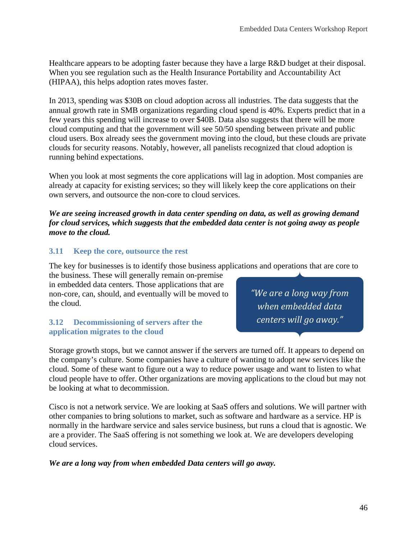Healthcare appears to be adopting faster because they have a large R&D budget at their disposal. When you see regulation such as the Health Insurance Portability and Accountability Act (HIPAA), this helps adoption rates moves faster.

In 2013, spending was \$30B on cloud adoption across all industries. The data suggests that the annual growth rate in SMB organizations regarding cloud spend is 40%. Experts predict that in a few years this spending will increase to over \$40B. Data also suggests that there will be more cloud computing and that the government will see 50/50 spending between private and public cloud users. Box already sees the government moving into the cloud, but these clouds are private clouds for security reasons. Notably, however, all panelists recognized that cloud adoption is running behind expectations.

When you look at most segments the core applications will lag in adoption. Most companies are already at capacity for existing services; so they will likely keep the core applications on their own servers, and outsource the non-core to cloud services.

#### *We are seeing increased growth in data center spending on data, as well as growing demand for cloud services, which suggests that the embedded data center is not going away as people move to the cloud.*

### **3.11 Keep the core, outsource the rest**

The key for businesses is to identify those business applications and operations that are core to

the business. These will generally remain on-premise in embedded data centers. Those applications that are non-core, can, should, and eventually will be moved to the cloud.

#### **3.12 Decommissioning of servers after the application migrates to the cloud**

Storage growth stops, but we cannot answer if the servers are turned off. It appears to depend on the company's culture. Some companies have a culture of wanting to adopt new services like the cloud. Some of these want to figure out a way to reduce power usage and want to listen to what cloud people have to offer. Other organizations are moving applications to the cloud but may not be looking at what to decommission.

Cisco is not a network service. We are looking at SaaS offers and solutions. We will partner with other companies to bring solutions to market, such as software and hardware as a service. HP is normally in the hardware service and sales service business, but runs a cloud that is agnostic. We are a provider. The SaaS offering is not something we look at. We are developers developing cloud services.

#### *We are a long way from when embedded Data centers will go away.*

*"We are a long way from when embedded data centers will go away."*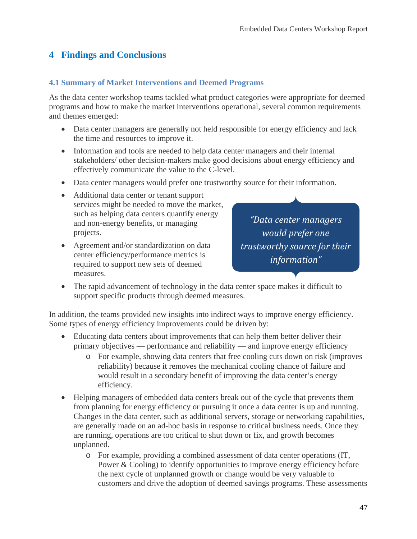# **4 Findings and Conclusions**

### **4.1 Summary of Market Interventions and Deemed Programs**

As the data center workshop teams tackled what product categories were appropriate for deemed programs and how to make the market interventions operational, several common requirements and themes emerged:

- Data center managers are generally not held responsible for energy efficiency and lack the time and resources to improve it.
- Information and tools are needed to help data center managers and their internal stakeholders/ other decision-makers make good decisions about energy efficiency and effectively communicate the value to the C-level.
- Data center managers would prefer one trustworthy source for their information.
- Additional data center or tenant support services might be needed to move the market, such as helping data centers quantify energy and non-energy benefits, or managing projects.
- Agreement and/or standardization on data center efficiency/performance metrics is required to support new sets of deemed measures.

*"Data center managers would prefer one trustworthy source for their information"*

• The rapid advancement of technology in the data center space makes it difficult to support specific products through deemed measures.

In addition, the teams provided new insights into indirect ways to improve energy efficiency. Some types of energy efficiency improvements could be driven by:

- Educating data centers about improvements that can help them better deliver their primary objectives — performance and reliability — and improve energy efficiency
	- o For example, showing data centers that free cooling cuts down on risk (improves reliability) because it removes the mechanical cooling chance of failure and would result in a secondary benefit of improving the data center's energy efficiency.
- Helping managers of embedded data centers break out of the cycle that prevents them from planning for energy efficiency or pursuing it once a data center is up and running. Changes in the data center, such as additional servers, storage or networking capabilities, are generally made on an ad-hoc basis in response to critical business needs. Once they are running, operations are too critical to shut down or fix, and growth becomes unplanned.
	- o For example, providing a combined assessment of data center operations (IT, Power & Cooling) to identify opportunities to improve energy efficiency before the next cycle of unplanned growth or change would be very valuable to customers and drive the adoption of deemed savings programs. These assessments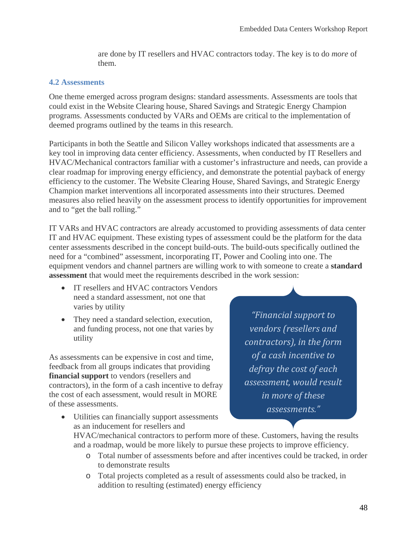are done by IT resellers and HVAC contractors today. The key is to do *more* of them.

#### **4.2 Assessments**

One theme emerged across program designs: standard assessments. Assessments are tools that could exist in the Website Clearing house, Shared Savings and Strategic Energy Champion programs. Assessments conducted by VARs and OEMs are critical to the implementation of deemed programs outlined by the teams in this research.

Participants in both the Seattle and Silicon Valley workshops indicated that assessments are a key tool in improving data center efficiency. Assessments, when conducted by IT Resellers and HVAC/Mechanical contractors familiar with a customer's infrastructure and needs, can provide a clear roadmap for improving energy efficiency, and demonstrate the potential payback of energy efficiency to the customer. The Website Clearing House, Shared Savings, and Strategic Energy Champion market interventions all incorporated assessments into their structures. Deemed measures also relied heavily on the assessment process to identify opportunities for improvement and to "get the ball rolling."

IT VARs and HVAC contractors are already accustomed to providing assessments of data center IT and HVAC equipment. These existing types of assessment could be the platform for the data center assessments described in the concept build-outs. The build-outs specifically outlined the need for a "combined" assessment, incorporating IT, Power and Cooling into one. The equipment vendors and channel partners are willing work to with someone to create a **standard assessment** that would meet the requirements described in the work session:

- IT resellers and HVAC contractors Vendors need a standard assessment, not one that varies by utility
- They need a standard selection, execution, and funding process, not one that varies by utility

As assessments can be expensive in cost and time, feedback from all groups indicates that providing **financial support** to vendors (resellers and contractors), in the form of a cash incentive to defray the cost of each assessment, would result in MORE of these assessments.

*"Financial support to vendors (resellers and contractors), in the form of a cash incentive to defray the cost of each assessment, would result in more of these assessments."*

- Utilities can financially support assessments as an inducement for resellers and HVAC/mechanical contractors to perform more of these. Customers, having the results and a roadmap, would be more likely to pursue these projects to improve efficiency.
	- o Total number of assessments before and after incentives could be tracked, in order to demonstrate results
	- o Total projects completed as a result of assessments could also be tracked, in addition to resulting (estimated) energy efficiency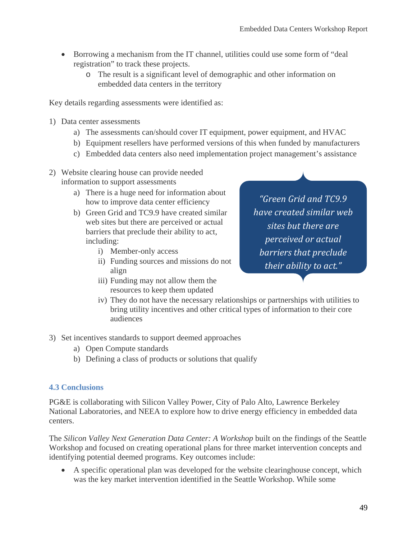- Borrowing a mechanism from the IT channel, utilities could use some form of "deal registration" to track these projects.
	- o The result is a significant level of demographic and other information on embedded data centers in the territory

Key details regarding assessments were identified as:

- 1) Data center assessments
	- a) The assessments can/should cover IT equipment, power equipment, and HVAC
	- b) Equipment resellers have performed versions of this when funded by manufacturers
	- c) Embedded data centers also need implementation project management's assistance
- 2) Website clearing house can provide needed information to support assessments
	- a) There is a huge need for information about how to improve data center efficiency
	- b) Green Grid and TC9.9 have created similar web sites but there are perceived or actual barriers that preclude their ability to act, including:
		- i) Member-only access
		- ii) Funding sources and missions do not align
		- iii) Funding may not allow them the resources to keep them updated

*"Green Grid and TC9.9 have created similar web sites but there are perceived or actual barriers that preclude their ability to act."*

- iv) They do not have the necessary relationships or partnerships with utilities to bring utility incentives and other critical types of information to their core audiences
- 3) Set incentives standards to support deemed approaches
	- a) Open Compute standards
	- b) Defining a class of products or solutions that qualify

#### **4.3 Conclusions**

PG&E is collaborating with Silicon Valley Power, City of Palo Alto, Lawrence Berkeley National Laboratories, and NEEA to explore how to drive energy efficiency in embedded data centers.

The *Silicon Valley Next Generation Data Center: A Workshop* built on the findings of the Seattle Workshop and focused on creating operational plans for three market intervention concepts and identifying potential deemed programs. Key outcomes include:

• A specific operational plan was developed for the website clearinghouse concept, which was the key market intervention identified in the Seattle Workshop. While some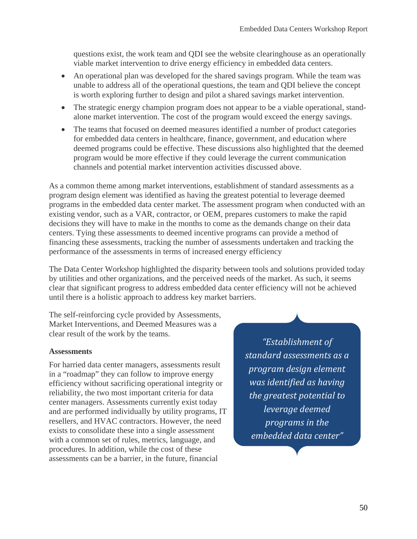questions exist, the work team and QDI see the website clearinghouse as an operationally viable market intervention to drive energy efficiency in embedded data centers.

- An operational plan was developed for the shared savings program. While the team was unable to address all of the operational questions, the team and QDI believe the concept is worth exploring further to design and pilot a shared savings market intervention.
- The strategic energy champion program does not appear to be a viable operational, standalone market intervention. The cost of the program would exceed the energy savings.
- The teams that focused on deemed measures identified a number of product categories for embedded data centers in healthcare, finance, government, and education where deemed programs could be effective. These discussions also highlighted that the deemed program would be more effective if they could leverage the current communication channels and potential market intervention activities discussed above.

As a common theme among market interventions, establishment of standard assessments as a program design element was identified as having the greatest potential to leverage deemed programs in the embedded data center market. The assessment program when conducted with an existing vendor, such as a VAR, contractor, or OEM, prepares customers to make the rapid decisions they will have to make in the months to come as the demands change on their data centers. Tying these assessments to deemed incentive programs can provide a method of financing these assessments, tracking the number of assessments undertaken and tracking the performance of the assessments in terms of increased energy efficiency

The Data Center Workshop highlighted the disparity between tools and solutions provided today by utilities and other organizations, and the perceived needs of the market. As such, it seems clear that significant progress to address embedded data center efficiency will not be achieved until there is a holistic approach to address key market barriers.

The self-reinforcing cycle provided by Assessments, Market Interventions, and Deemed Measures was a clear result of the work by the teams.

#### **Assessments**

For harried data center managers, assessments result in a "roadmap" they can follow to improve energy efficiency without sacrificing operational integrity or reliability, the two most important criteria for data center managers. Assessments currently exist today and are performed individually by utility programs, IT resellers, and HVAC contractors. However, the need exists to consolidate these into a single assessment with a common set of rules, metrics, language, and procedures. In addition, while the cost of these assessments can be a barrier, in the future, financial

*"Establishment of standard assessments as a program design element was identified as having the greatest potential to leverage deemed programs in the embedded data center"*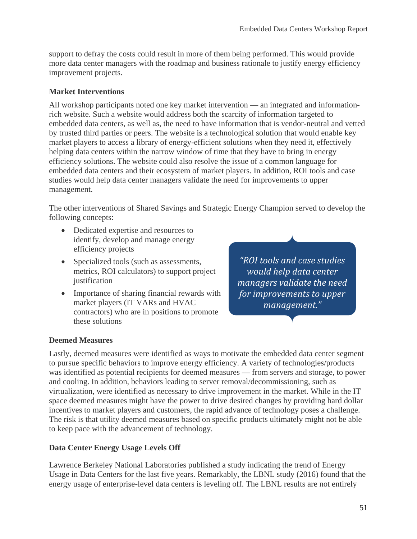support to defray the costs could result in more of them being performed. This would provide more data center managers with the roadmap and business rationale to justify energy efficiency improvement projects.

### **Market Interventions**

All workshop participants noted one key market intervention — an integrated and informationrich website. Such a website would address both the scarcity of information targeted to embedded data centers, as well as, the need to have information that is vendor-neutral and vetted by trusted third parties or peers. The website is a technological solution that would enable key market players to access a library of energy-efficient solutions when they need it, effectively helping data centers within the narrow window of time that they have to bring in energy efficiency solutions. The website could also resolve the issue of a common language for embedded data centers and their ecosystem of market players. In addition, ROI tools and case studies would help data center managers validate the need for improvements to upper management.

The other interventions of Shared Savings and Strategic Energy Champion served to develop the following concepts:

- Dedicated expertise and resources to identify, develop and manage energy efficiency projects
- Specialized tools (such as assessments, metrics, ROI calculators) to support project justification
- Importance of sharing financial rewards with market players (IT VARs and HVAC contractors) who are in positions to promote these solutions

*"ROI tools and case studies would help data center managers validate the need for improvements to upper management."*

### **Deemed Measures**

Lastly, deemed measures were identified as ways to motivate the embedded data center segment to pursue specific behaviors to improve energy efficiency. A variety of technologies/products was identified as potential recipients for deemed measures — from servers and storage, to power and cooling. In addition, behaviors leading to server removal/decommissioning, such as virtualization, were identified as necessary to drive improvement in the market. While in the IT space deemed measures might have the power to drive desired changes by providing hard dollar incentives to market players and customers, the rapid advance of technology poses a challenge. The risk is that utility deemed measures based on specific products ultimately might not be able to keep pace with the advancement of technology.

### **Data Center Energy Usage Levels Off**

Lawrence Berkeley National Laboratories published a study indicating the trend of Energy Usage in Data Centers for the last five years. Remarkably, the LBNL study (2016) found that the energy usage of enterprise-level data centers is leveling off. The LBNL results are not entirely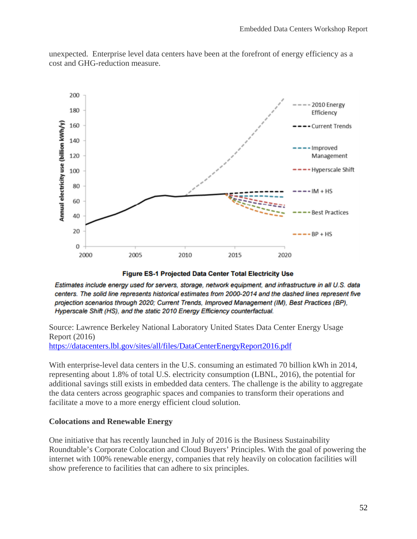

unexpected. Enterprise level data centers have been at the forefront of energy efficiency as a cost and GHG-reduction measure.

Figure ES-1 Projected Data Center Total Electricity Use

Estimates include energy used for servers, storage, network equipment, and infrastructure in all U.S. data centers. The solid line represents historical estimates from 2000-2014 and the dashed lines represent five projection scenarios through 2020; Current Trends, Improved Management (IM), Best Practices (BP), Hyperscale Shift (HS), and the static 2010 Energy Efficiency counterfactual.

Source: Lawrence Berkeley National Laboratory United States Data Center Energy Usage Report (2016) <https://datacenters.lbl.gov/sites/all/files/DataCenterEnergyReport2016.pdf>

With enterprise-level data centers in the U.S. consuming an estimated 70 billion kWh in 2014, representing about 1.8% of total U.S. electricity consumption (LBNL, 2016), the potential for additional savings still exists in embedded data centers. The challenge is the ability to aggregate the data centers across geographic spaces and companies to transform their operations and facilitate a move to a more energy efficient cloud solution.

#### **Colocations and Renewable Energy**

One initiative that has recently launched in July of 2016 is the Business Sustainability Roundtable's Corporate Colocation and Cloud Buyers' Principles. With the goal of powering the internet with 100% renewable energy, companies that rely heavily on colocation facilities will show preference to facilities that can adhere to six principles.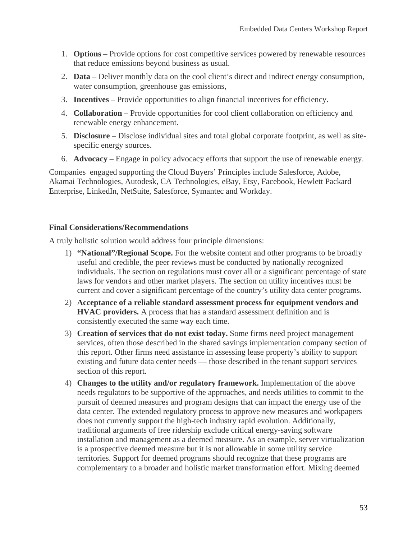- 1. **Options** Provide options for cost competitive services powered by renewable resources that reduce emissions beyond business as usual.
- 2. **Data** Deliver monthly data on the cool client's direct and indirect energy consumption, water consumption, greenhouse gas emissions,
- 3. **Incentives** Provide opportunities to align financial incentives for efficiency.
- 4. **Collaboration** Provide opportunities for cool client collaboration on efficiency and renewable energy enhancement.
- 5. **Disclosure** Disclose individual sites and total global corporate footprint, as well as sitespecific energy sources.
- 6. **Advocacy** Engage in policy advocacy efforts that support the use of renewable energy.

Companies engaged supporting the Cloud Buyers' Principles include Salesforce, Adobe, Akamai Technologies, Autodesk, CA Technologies, eBay, Etsy, Facebook, Hewlett Packard Enterprise, LinkedIn, NetSuite, Salesforce, Symantec and Workday.

#### **Final Considerations/Recommendations**

A truly holistic solution would address four principle dimensions:

- 1) **"National"/Regional Scope.** For the website content and other programs to be broadly useful and credible, the peer reviews must be conducted by nationally recognized individuals. The section on regulations must cover all or a significant percentage of state laws for vendors and other market players. The section on utility incentives must be current and cover a significant percentage of the country's utility data center programs.
- 2) **Acceptance of a reliable standard assessment process for equipment vendors and HVAC providers.** A process that has a standard assessment definition and is consistently executed the same way each time.
- 3) **Creation of services that do not exist today.** Some firms need project management services, often those described in the shared savings implementation company section of this report. Other firms need assistance in assessing lease property's ability to support existing and future data center needs — those described in the tenant support services section of this report.
- 4) **Changes to the utility and/or regulatory framework.** Implementation of the above needs regulators to be supportive of the approaches, and needs utilities to commit to the pursuit of deemed measures and program designs that can impact the energy use of the data center. The extended regulatory process to approve new measures and workpapers does not currently support the high-tech industry rapid evolution. Additionally, traditional arguments of free ridership exclude critical energy-saving software installation and management as a deemed measure. As an example, server virtualization is a prospective deemed measure but it is not allowable in some utility service territories. Support for deemed programs should recognize that these programs are complementary to a broader and holistic market transformation effort. Mixing deemed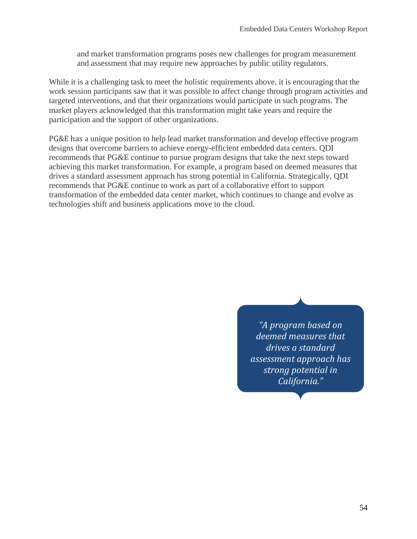and market transformation programs poses new challenges for program measurement and assessment that may require new approaches by public utility regulators.

While it is a challenging task to meet the holistic requirements above, it is encouraging that the work session participants saw that it was possible to affect change through program activities and targeted interventions, and that their organizations would participate in such programs. The market players acknowledged that this transformation might take years and require the participation and the support of other organizations.

PG&E has a unique position to help lead market transformation and develop effective program designs that overcome barriers to achieve energy-efficient embedded data centers. QDI recommends that PG&E continue to pursue program designs that take the next steps toward achieving this market transformation. For example, a program based on deemed measures that drives a standard assessment approach has strong potential in California. Strategically, QDI recommends that PG&E continue to work as part of a collaborative effort to support transformation of the embedded data center market, which continues to change and evolve as technologies shift and business applications move to the cloud.

> *"A program based on deemed measures that drives a standard assessment approach has strong potential in California."*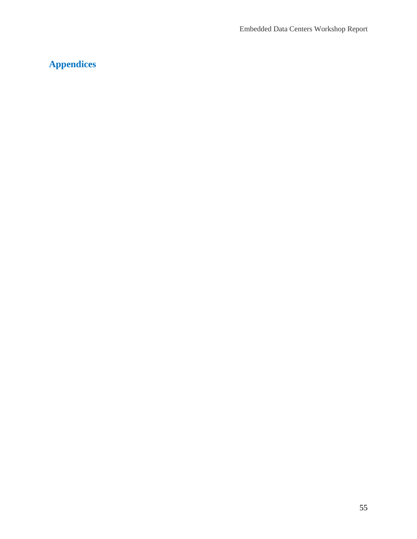# **Appendices**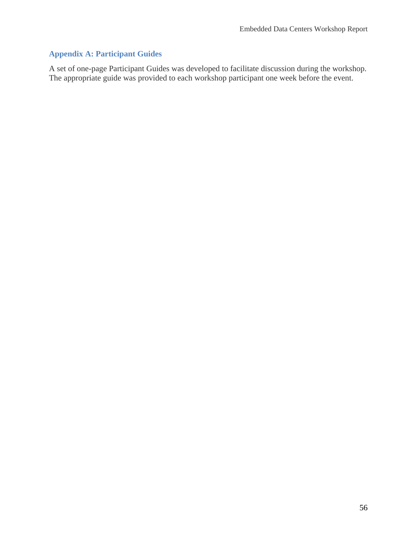## **Appendix A: Participant Guides**

A set of one-page Participant Guides was developed to facilitate discussion during the workshop. The appropriate guide was provided to each workshop participant one week before the event.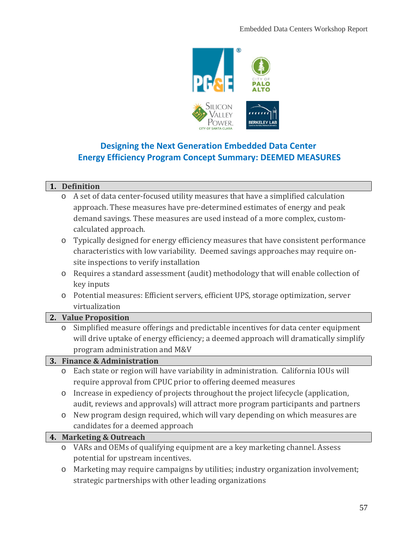

# **Designing the Next Generation Embedded Data Center Energy Efficiency Program Concept Summary: DEEMED MEASURES**

#### **1. Definition**

| $\circ$ A set of data center-focused utility measures that have a simplified calculation |
|------------------------------------------------------------------------------------------|
| approach. These measures have pre-determined estimates of energy and peak                |
| demand savings. These measures are used instead of a more complex, custom-               |
| calculated approach.                                                                     |

- o Typically designed for energy efficiency measures that have consistent performance characteristics with low variability. Deemed savings approaches may require onsite inspections to verify installation
- o Requires a standard assessment (audit) methodology that will enable collection of key inputs
- o Potential measures: Efficient servers, efficient UPS, storage optimization, server virtualization

#### **2. Value Proposition**

o Simplified measure offerings and predictable incentives for data center equipment will drive uptake of energy efficiency; a deemed approach will dramatically simplify program administration and M&V

#### **3. Finance & Administration**

- o Each state or region will have variability in administration. California IOUs will require approval from CPUC prior to offering deemed measures
- o Increase in expediency of projects throughout the project lifecycle (application, audit, reviews and approvals) will attract more program participants and partners
- o New program design required, which will vary depending on which measures are candidates for a deemed approach

#### **4. Marketing & Outreach**

- o VARs and OEMs of qualifying equipment are a key marketing channel. Assess potential for upstream incentives.
- o Marketing may require campaigns by utilities; industry organization involvement; strategic partnerships with other leading organizations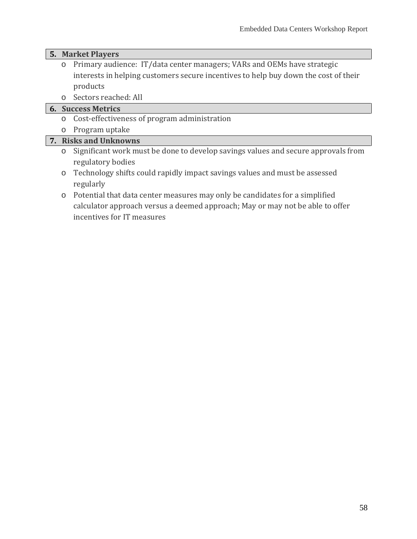#### **5. Market Players**

- o Primary audience: IT/data center managers; VARs and OEMs have strategic interests in helping customers secure incentives to help buy down the cost of their products
- o Sectors reached: All

# **6. Success Metrics**

- o Cost-effectiveness of program administration
- o Program uptake

## **7. Risks and Unknowns**

- o Significant work must be done to develop savings values and secure approvals from regulatory bodies
- o Technology shifts could rapidly impact savings values and must be assessed regularly
- o Potential that data center measures may only be candidates for a simplified calculator approach versus a deemed approach; May or may not be able to offer incentives for IT measures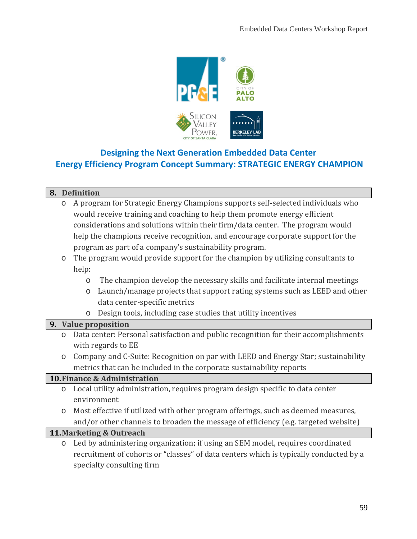

# **Designing the Next Generation Embedded Data Center Energy Efficiency Program Concept Summary: STRATEGIC ENERGY CHAMPION**

### **8. Definition**

- o A program for Strategic Energy Champions supports self-selected individuals who would receive training and coaching to help them promote energy efficient considerations and solutions within their firm/data center. The program would help the champions receive recognition, and encourage corporate support for the program as part of a company's sustainability program.
- o The program would provide support for the champion by utilizing consultants to help:
	- o The champion develop the necessary skills and facilitate internal meetings
	- o Launch/manage projects that support rating systems such as LEED and other data center-specific metrics
	- o Design tools, including case studies that utility incentives

#### **9. Value proposition**

- o Data center: Personal satisfaction and public recognition for their accomplishments with regards to EE
- o Company and C-Suite: Recognition on par with LEED and Energy Star; sustainability metrics that can be included in the corporate sustainability reports

### **10.Finance & Administration**

- o Local utility administration, requires program design specific to data center environment
- o Most effective if utilized with other program offerings, such as deemed measures, and/or other channels to broaden the message of efficiency (e.g. targeted website)

#### **11.Marketing & Outreach**

o Led by administering organization; if using an SEM model, requires coordinated recruitment of cohorts or "classes" of data centers which is typically conducted by a specialty consulting firm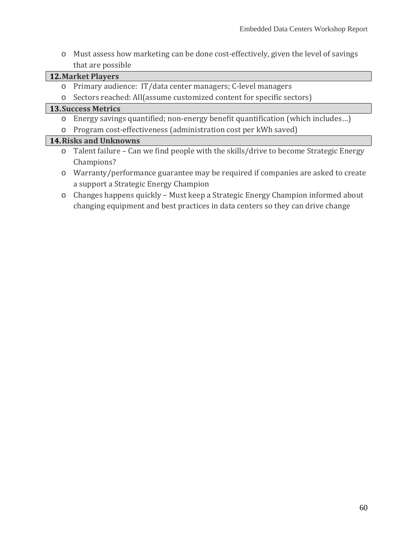o Must assess how marketing can be done cost-effectively, given the level of savings that are possible

### **12.Market Players**

- o Primary audience: IT/data center managers; C-level managers
- o Sectors reached: All(assume customized content for specific sectors)

### **13.Success Metrics**

- o Energy savings quantified; non-energy benefit quantification (which includes…)
- o Program cost-effectiveness (administration cost per kWh saved)

### **14.Risks and Unknowns**

- o Talent failure Can we find people with the skills/drive to become Strategic Energy Champions?
- o Warranty/performance guarantee may be required if companies are asked to create a support a Strategic Energy Champion
- o Changes happens quickly Must keep a Strategic Energy Champion informed about changing equipment and best practices in data centers so they can drive change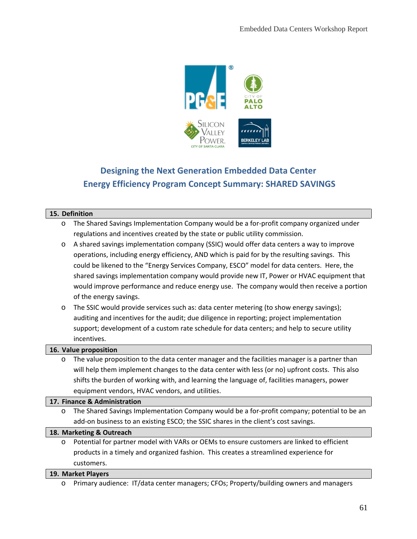

# **Designing the Next Generation Embedded Data Center Energy Efficiency Program Concept Summary: SHARED SAVINGS**

#### **15. Definition**

- o The Shared Savings Implementation Company would be a for-profit company organized under regulations and incentives created by the state or public utility commission.
- o A shared savings implementation company (SSIC) would offer data centers a way to improve operations, including energy efficiency, AND which is paid for by the resulting savings. This could be likened to the "Energy Services Company, ESCO" model for data centers. Here, the shared savings implementation company would provide new IT, Power or HVAC equipment that would improve performance and reduce energy use. The company would then receive a portion of the energy savings.
- o The SSIC would provide services such as: data center metering (to show energy savings); auditing and incentives for the audit; due diligence in reporting; project implementation support; development of a custom rate schedule for data centers; and help to secure utility incentives.

#### **16. Value proposition**

o The value proposition to the data center manager and the facilities manager is a partner than will help them implement changes to the data center with less (or no) upfront costs. This also shifts the burden of working with, and learning the language of, facilities managers, power equipment vendors, HVAC vendors, and utilities.

#### **17. Finance & Administration**

o The Shared Savings Implementation Company would be a for-profit company; potential to be an add-on business to an existing ESCO; the SSIC shares in the client's cost savings.

#### **18. Marketing & Outreach**

o Potential for partner model with VARs or OEMs to ensure customers are linked to efficient products in a timely and organized fashion. This creates a streamlined experience for customers.

#### **19. Market Players**

o Primary audience: IT/data center managers; CFOs; Property/building owners and managers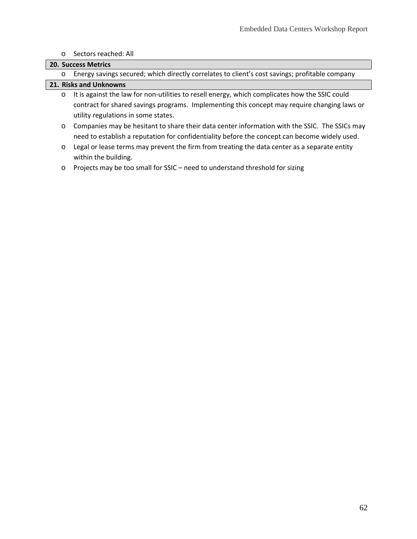#### o Sectors reached: All

#### **20. Success Metrics**

o Energy savings secured; which directly correlates to client's cost savings; profitable company

### **21. Risks and Unknowns**

- o It is against the law for non-utilities to resell energy, which complicates how the SSIC could contract for shared savings programs. Implementing this concept may require changing laws or utility regulations in some states.
- o Companies may be hesitant to share their data center information with the SSIC. The SSICs may need to establish a reputation for confidentiality before the concept can become widely used.
- o Legal or lease terms may prevent the firm from treating the data center as a separate entity within the building.
- o Projects may be too small for SSIC need to understand threshold for sizing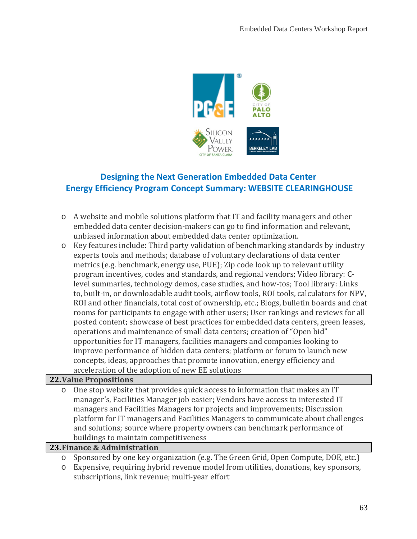

# **Designing the Next Generation Embedded Data Center Energy Efficiency Program Concept Summary: WEBSITE CLEARINGHOUSE**

- o A website and mobile solutions platform that IT and facility managers and other embedded data center decision-makers can go to find information and relevant, unbiased information about embedded data center optimization.
- o Key features include: Third party validation of benchmarking standards by industry experts tools and methods; database of voluntary declarations of data center metrics (e.g. benchmark, energy use, PUE); Zip code look up to relevant utility program incentives, codes and standards, and regional vendors; Video library: Clevel summaries, technology demos, case studies, and how-tos; Tool library: Links to, built-in, or downloadable audit tools, airflow tools, ROI tools, calculators for NPV, ROI and other financials, total cost of ownership, etc.; Blogs, bulletin boards and chat rooms for participants to engage with other users; User rankings and reviews for all posted content; showcase of best practices for embedded data centers, green leases, operations and maintenance of small data centers; creation of "Open bid" opportunities for IT managers, facilities managers and companies looking to improve performance of hidden data centers; platform or forum to launch new concepts, ideas, approaches that promote innovation, energy efficiency and acceleration of the adoption of new EE solutions

#### **22.Value Propositions**

o One stop website that provides quick access to information that makes an IT manager's, Facilities Manager job easier; Vendors have access to interested IT managers and Facilities Managers for projects and improvements; Discussion platform for IT managers and Facilities Managers to communicate about challenges and solutions; source where property owners can benchmark performance of buildings to maintain competitiveness

#### **23.Finance & Administration**

- o Sponsored by one key organization (e.g. The Green Grid, Open Compute, DOE, etc.)
- o Expensive, requiring hybrid revenue model from utilities, donations, key sponsors, subscriptions, link revenue; multi-year effort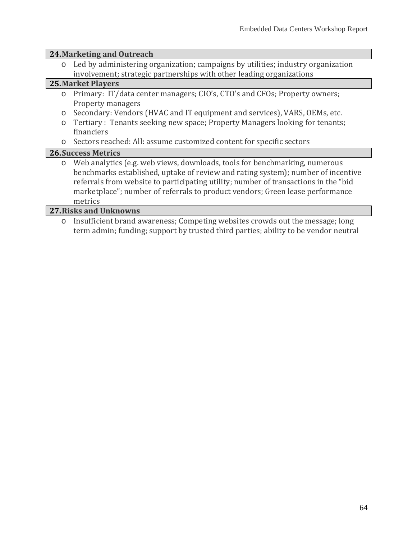#### **24.Marketing and Outreach**

o Led by administering organization; campaigns by utilities; industry organization involvement; strategic partnerships with other leading organizations

#### **25.Market Players**

- o Primary: IT/data center managers; CIO's, CTO's and CFOs; Property owners; Property managers
- o Secondary: Vendors (HVAC and IT equipment and services), VARS, OEMs, etc.
- o Tertiary : Tenants seeking new space; Property Managers looking for tenants; financiers
- o Sectors reached: All: assume customized content for specific sectors

#### **26.Success Metrics**

o Web analytics (e.g. web views, downloads, tools for benchmarking, numerous benchmarks established, uptake of review and rating system); number of incentive referrals from website to participating utility; number of transactions in the "bid marketplace"; number of referrals to product vendors; Green lease performance metrics

#### **27.Risks and Unknowns**

Insufficient brand awareness; Competing websites crowds out the message; long term admin; funding; support by trusted third parties; ability to be vendor neutral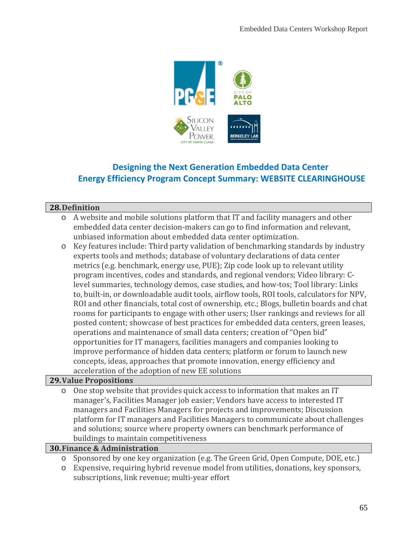

# **Designing the Next Generation Embedded Data Center Energy Efficiency Program Concept Summary: WEBSITE CLEARINGHOUSE**

### **28.Definition**

- o A website and mobile solutions platform that IT and facility managers and other embedded data center decision-makers can go to find information and relevant, unbiased information about embedded data center optimization.
- o Key features include: Third party validation of benchmarking standards by industry experts tools and methods; database of voluntary declarations of data center metrics (e.g. benchmark, energy use, PUE); Zip code look up to relevant utility program incentives, codes and standards, and regional vendors; Video library: Clevel summaries, technology demos, case studies, and how-tos; Tool library: Links to, built-in, or downloadable audit tools, airflow tools, ROI tools, calculators for NPV, ROI and other financials, total cost of ownership, etc.; Blogs, bulletin boards and chat rooms for participants to engage with other users; User rankings and reviews for all posted content; showcase of best practices for embedded data centers, green leases, operations and maintenance of small data centers; creation of "Open bid" opportunities for IT managers, facilities managers and companies looking to improve performance of hidden data centers; platform or forum to launch new concepts, ideas, approaches that promote innovation, energy efficiency and acceleration of the adoption of new EE solutions

#### **29.Value Propositions**

o One stop website that provides quick access to information that makes an IT manager's, Facilities Manager job easier; Vendors have access to interested IT managers and Facilities Managers for projects and improvements; Discussion platform for IT managers and Facilities Managers to communicate about challenges and solutions; source where property owners can benchmark performance of buildings to maintain competitiveness

#### **30.Finance & Administration**

- o Sponsored by one key organization (e.g. The Green Grid, Open Compute, DOE, etc.)
- o Expensive, requiring hybrid revenue model from utilities, donations, key sponsors, subscriptions, link revenue; multi-year effort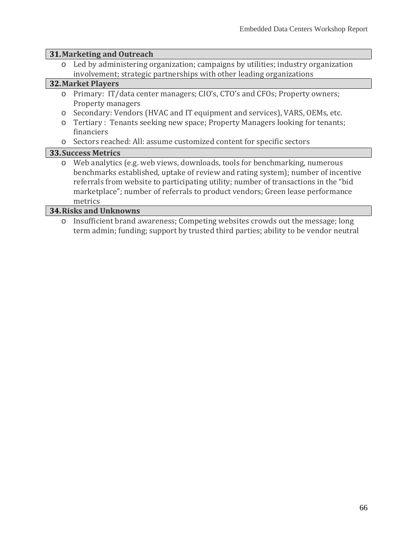## **31.Marketing and Outreach**

o Led by administering organization; campaigns by utilities; industry organization involvement; strategic partnerships with other leading organizations

## **32.Market Players**

- o Primary: IT/data center managers; CIO's, CTO's and CFOs; Property owners; Property managers
- o Secondary: Vendors (HVAC and IT equipment and services), VARS, OEMs, etc.
- o Tertiary : Tenants seeking new space; Property Managers looking for tenants; financiers
- o Sectors reached: All: assume customized content for specific sectors

## **33.Success Metrics**

o Web analytics (e.g. web views, downloads, tools for benchmarking, numerous benchmarks established, uptake of review and rating system); number of incentive referrals from website to participating utility; number of transactions in the "bid marketplace"; number of referrals to product vendors; Green lease performance metrics

#### **34.Risks and Unknowns**

Insufficient brand awareness; Competing websites crowds out the message; long term admin; funding; support by trusted third parties; ability to be vendor neutral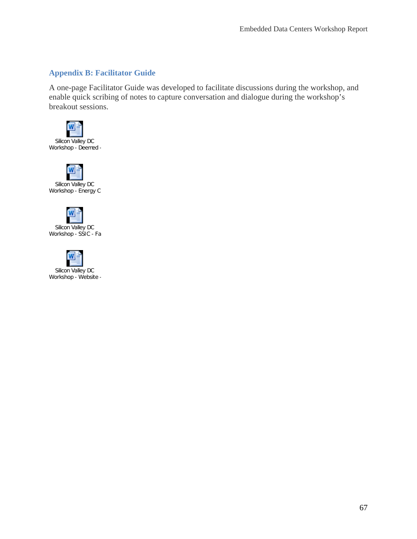## **Appendix B: Facilitator Guide**

A one-page Facilitator Guide was developed to facilitate discussions during the workshop, and enable quick scribing of notes to capture conversation and dialogue during the workshop's breakout sessions.







Silicon Valley DC Workshop - SSIC - Fa



67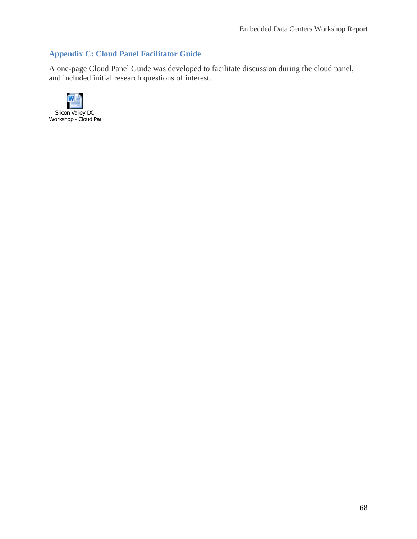## **Appendix C: Cloud Panel Facilitator Guide**

A one-page Cloud Panel Guide was developed to facilitate discussion during the cloud panel, and included initial research questions of interest.